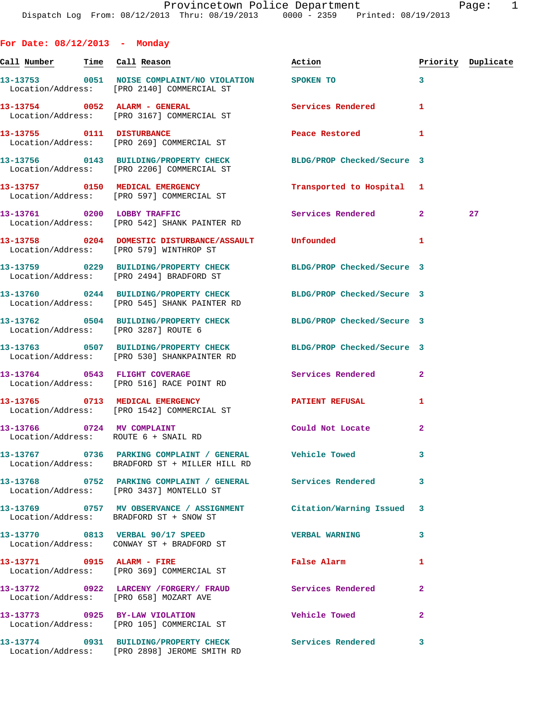| For Date: $08/12/2013$ - Monday                                    |                                                                                                                |                            |                |                    |
|--------------------------------------------------------------------|----------------------------------------------------------------------------------------------------------------|----------------------------|----------------|--------------------|
| Call Number Time Call Reason                                       |                                                                                                                | Action                     |                | Priority Duplicate |
|                                                                    | 13-13753 0051 NOISE COMPLAINT/NO VIOLATION SPOKEN TO<br>Location/Address: [PRO 2140] COMMERCIAL ST             |                            | 3              |                    |
|                                                                    | 13-13754 0052 ALARM - GENERAL<br>Location/Address: [PRO 3167] COMMERCIAL ST                                    | <b>Services Rendered</b>   | 1              |                    |
| 13-13755 0111 DISTURBANCE                                          | Location/Address: [PRO 269] COMMERCIAL ST                                                                      | Peace Restored and the sea | 1              |                    |
|                                                                    | 13-13756 0143 BUILDING/PROPERTY CHECK BLDG/PROP Checked/Secure 3<br>Location/Address: [PRO 2206] COMMERCIAL ST |                            |                |                    |
|                                                                    | 13-13757 0150 MEDICAL EMERGENCY<br>Location/Address: [PRO 597] COMMERCIAL ST                                   | Transported to Hospital    | 1              |                    |
|                                                                    | 13-13761 0200 LOBBY TRAFFIC<br>Location/Address: [PRO 542] SHANK PAINTER RD                                    | Services Rendered          | $\mathbf{2}$   | 27                 |
|                                                                    | 13-13758 0204 DOMESTIC DISTURBANCE/ASSAULT Unfounded<br>Location/Address: [PRO 579] WINTHROP ST                |                            | 1              |                    |
|                                                                    | 13-13759 0229 BUILDING/PROPERTY CHECK<br>Location/Address: [PRO 2494] BRADFORD ST                              | BLDG/PROP Checked/Secure 3 |                |                    |
|                                                                    | 13-13760 0244 BUILDING/PROPERTY CHECK<br>Location/Address: [PRO 545] SHANK PAINTER RD                          | BLDG/PROP Checked/Secure 3 |                |                    |
| Location/Address: [PRO 3287] ROUTE 6                               | 13-13762 0504 BUILDING/PROPERTY CHECK BLDG/PROP Checked/Secure 3                                               |                            |                |                    |
|                                                                    | 13-13763 0507 BUILDING/PROPERTY CHECK<br>Location/Address: [PRO 530] SHANKPAINTER RD                           | BLDG/PROP Checked/Secure 3 |                |                    |
|                                                                    | 13-13764 0543 FLIGHT COVERAGE<br>Location/Address: [PRO 516] RACE POINT RD                                     | Services Rendered          | $\mathbf{2}$   |                    |
|                                                                    | 13-13765 0713 MEDICAL EMERGENCY<br>Location/Address: [PRO 1542] COMMERCIAL ST                                  | <b>PATIENT REFUSAL</b>     | 1              |                    |
| 13-13766 0724 MV COMPLAINT<br>Location/Address: ROUTE 6 + SNAIL RD |                                                                                                                | Could Not Locate           | $\overline{a}$ |                    |
|                                                                    | 13-13767 0736 PARKING COMPLAINT / GENERAL Vehicle Towed<br>Location/Address: BRADFORD ST + MILLER HILL RD      |                            | 3              |                    |
|                                                                    | 13-13768 0752 PARKING COMPLAINT / GENERAL Services Rendered<br>Location/Address: [PRO 3437] MONTELLO ST        |                            | 3              |                    |
|                                                                    | 13-13769 0757 MV OBSERVANCE / ASSIGNMENT Citation/Warning Issued<br>Location/Address: BRADFORD ST + SNOW ST    |                            | 3              |                    |
|                                                                    | 13-13770 0813 VERBAL 90/17 SPEED<br>Location/Address: CONWAY ST + BRADFORD ST                                  | <b>VERBAL WARNING</b>      | 3              |                    |
| 13-13771 0915 ALARM - FIRE                                         | Location/Address: [PRO 369] COMMERCIAL ST                                                                      | <b>False Alarm</b>         | 1              |                    |
|                                                                    | Location/Address: [PRO 658] MOZART AVE                                                                         |                            | $\overline{a}$ |                    |
|                                                                    | 13-13773 0925 BY-LAW VIOLATION<br>Location/Address: [PRO 105] COMMERCIAL ST                                    | Vehicle Towed              | 2              |                    |
|                                                                    | 13-13774 0931 BUILDING/PROPERTY CHECK Services Rendered<br>Location/Address: [PRO 2898] JEROME SMITH RD        |                            | 3              |                    |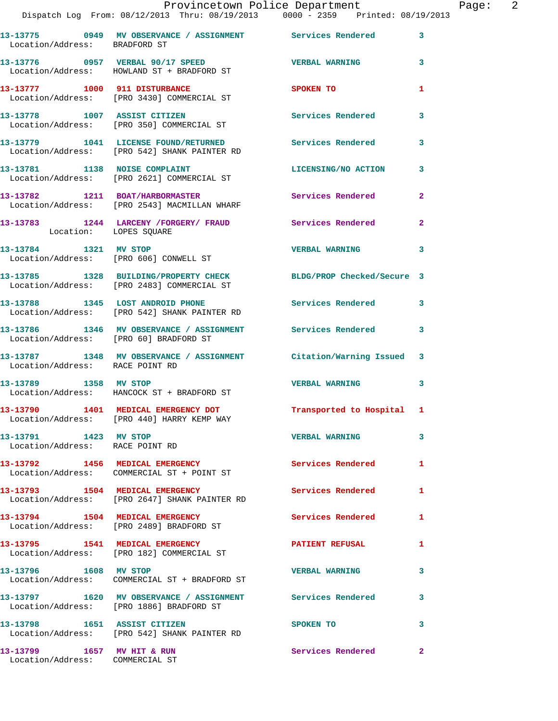|                                                               | Dispatch Log From: 08/12/2013 Thru: 08/19/2013 0000 - 2359 Printed: 08/19/2013                                     | Provincetown Police Department |                | Page: 2 |  |
|---------------------------------------------------------------|--------------------------------------------------------------------------------------------------------------------|--------------------------------|----------------|---------|--|
|                                                               |                                                                                                                    |                                |                |         |  |
| Location/Address: BRADFORD ST                                 | 13-13775 0949 MV OBSERVANCE / ASSIGNMENT Services Rendered 3                                                       |                                |                |         |  |
|                                                               | $13-13776$ 0957 VERBAL 90/17 SPEED VERBAL WARNING 3<br>Location/Address: HOWLAND ST + BRADFORD ST                  |                                |                |         |  |
|                                                               | 13-13777 1000 911 DISTURBANCE<br>Location/Address: [PRO 3430] COMMERCIAL ST                                        | SPOKEN TO                      | 1              |         |  |
|                                                               | 13-13778 1007 ASSIST CITIZEN Services Rendered<br>Location/Address: [PRO 350] COMMERCIAL ST                        |                                | $\mathbf{3}$   |         |  |
|                                                               | 13-13779 1041 LICENSE FOUND/RETURNED Services Rendered 3<br>Location/Address: [PRO 542] SHANK PAINTER RD           |                                |                |         |  |
|                                                               | 13-13781 1138 NOISE COMPLAINT LICENSING/NO ACTION 3<br>Location/Address: [PRO 2621] COMMERCIAL ST                  |                                |                |         |  |
|                                                               | 13-13782 1211 BOAT/HARBORMASTER Services Rendered 2<br>Location/Address: [PRO 2543] MACMILLAN WHARF                |                                |                |         |  |
| Location: LOPES SQUARE                                        | 13-13783 1244 LARCENY /FORGERY/ FRAUD Services Rendered                                                            |                                | $\overline{2}$ |         |  |
| 13-13784 1321 MV STOP                                         | Location/Address: [PRO 606] CONWELL ST                                                                             | <b>VERBAL WARNING 3</b>        |                |         |  |
|                                                               | 13-13785 1328 BUILDING/PROPERTY CHECK BLDG/PROP Checked/Secure 3<br>Location/Address: [PRO 2483] COMMERCIAL ST     |                                |                |         |  |
|                                                               | 13-13788 1345 LOST ANDROID PHONE 3 Services Rendered 3<br>Location/Address: [PRO 542] SHANK PAINTER RD             |                                |                |         |  |
|                                                               | 13-13786 1346 MV OBSERVANCE / ASSIGNMENT Services Rendered 3<br>Location/Address: [PRO 60] BRADFORD ST             |                                |                |         |  |
| Location/Address: RACE POINT RD                               | 13-13787 1348 MV OBSERVANCE / ASSIGNMENT Citation/Warning Issued 3                                                 |                                |                |         |  |
|                                                               | 13-13789 1358 MV STOP<br>Location/Address: HANCOCK ST + BRADFORD ST                                                | VERBAL WARNING 3               |                |         |  |
|                                                               | 13-13790 1401 MEDICAL EMERGENCY DOT <b>Transported</b> to Hospital 1<br>Location/Address: [PRO 440] HARRY KEMP WAY |                                |                |         |  |
| 13-13791 1423 MV STOP<br>Location/Address: RACE POINT RD      |                                                                                                                    | <b>VERBAL WARNING</b>          | $\mathbf{3}$   |         |  |
|                                                               | 13-13792 1456 MEDICAL EMERGENCY<br>Location/Address: COMMERCIAL ST + POINT ST                                      | <b>Services Rendered</b> 1     |                |         |  |
|                                                               | 13-13793 1504 MEDICAL EMERGENCY<br>Location/Address: [PRO 2647] SHANK PAINTER RD                                   | <b>Services Rendered</b>       | 1              |         |  |
|                                                               | 13-13794 1504 MEDICAL EMERGENCY<br>Location/Address: [PRO 2489] BRADFORD ST                                        | <b>Services Rendered</b> 1     |                |         |  |
|                                                               | 13-13795 1541 MEDICAL EMERGENCY<br>Location/Address: [PRO 182] COMMERCIAL ST                                       | PATIENT REFUSAL                | 1              |         |  |
| 13-13796 1608 MV STOP                                         | Location/Address: COMMERCIAL ST + BRADFORD ST                                                                      | <b>VERBAL WARNING</b>          | 3              |         |  |
|                                                               | 13-13797 1620 MV OBSERVANCE / ASSIGNMENT Services Rendered<br>Location/Address: [PRO 1886] BRADFORD ST             |                                | 3              |         |  |
| 13-13798 1651 ASSIST CITIZEN                                  | Location/Address: [PRO 542] SHANK PAINTER RD                                                                       | SPOKEN TO                      | 3              |         |  |
| 13-13799 1657 MV HIT & RUN<br>Location/Address: COMMERCIAL ST |                                                                                                                    | Services Rendered              | $\mathbf{2}$   |         |  |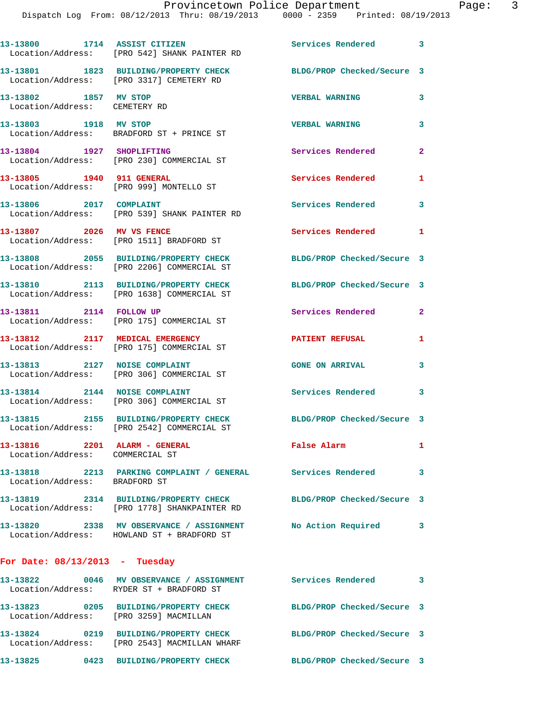Dispatch Log From: 08/12/2013 Thru: 08/19/2013 0000 - 2359 Printed: 08/19/2013 **13-13800 1714 ASSIST CITIZEN Services Rendered 3**  Location/Address: [PRO 542] SHANK PAINTER RD **13-13801 1823 BUILDING/PROPERTY CHECK BLDG/PROP Checked/Secure 3**  Location/Address: [PRO 3317] CEMETERY RD **13-13802 1857 MV STOP VERBAL WARNING 3**  Location/Address: CEMETERY RD **13-13803 1918 MV STOP VERBAL WARNING 3**  Location/Address: BRADFORD ST + PRINCE ST **13-13804 1927 SHOPLIFTING Services Rendered 2**  Location/Address: [PRO 230] COMMERCIAL ST 13-13805 1940 911 GENERAL Services Rendered 1 Location/Address: [PRO 999] MONTELLO ST 13-13806 2017 COMPLAINT **13-13806** 2017 2018 Location/Address: [PRO 539] SHANK PAINTER RD **13-13807 2026 MV VS FENCE Services Rendered 1**  Location/Address: [PRO 1511] BRADFORD ST **13-13808 2055 BUILDING/PROPERTY CHECK BLDG/PROP Checked/Secure 3**  Location/Address: [PRO 2206] COMMERCIAL ST **13-13810 2113 BUILDING/PROPERTY CHECK BLDG/PROP Checked/Secure 3**  Location/Address: [PRO 1638] COMMERCIAL ST **13-13811 2114 FOLLOW UP Services Rendered 2**  Location/Address: [PRO 175] COMMERCIAL ST **13-13812 2117 MEDICAL EMERGENCY PATIENT REFUSAL 1**  Location/Address: [PRO 175] COMMERCIAL ST **13-13813 2127 NOISE COMPLAINT GONE ON ARRIVAL 3**  Location/Address: [PRO 306] COMMERCIAL ST **13-13814 2144 NOISE COMPLAINT Services Rendered 3**  Location/Address: [PRO 306] COMMERCIAL ST **13-13815 2155 BUILDING/PROPERTY CHECK BLDG/PROP Checked/Secure 3**  Location/Address: [PRO 2542] COMMERCIAL ST **13-13816 2201 ALARM - GENERAL False Alarm 1**  Location/Address: COMMERCIAL ST **13-13818 2213 PARKING COMPLAINT / GENERAL Services Rendered 3**  Location/Address: BRADFORD ST **13-13819 2314 BUILDING/PROPERTY CHECK BLDG/PROP Checked/Secure 3**  Location/Address: [PRO 1778] SHANKPAINTER RD **13-13820 2338 MV OBSERVANCE / ASSIGNMENT No Action Required 3**  Location/Address: HOWLAND ST + BRADFORD ST **For Date: 08/13/2013 - Tuesday 13-13822 0046 MV OBSERVANCE / ASSIGNMENT Services Rendered 3**  Location/Address: RYDER ST + BRADFORD ST

**13-13823 0205 BUILDING/PROPERTY CHECK BLDG/PROP Checked/Secure 3**  Location/Address: [PRO 3259] MACMILLAN **13-13824 0219 BUILDING/PROPERTY CHECK BLDG/PROP Checked/Secure 3**  Location/Address: [PRO 2543] MACMILLAN WHARF **13-13825 0423 BUILDING/PROPERTY CHECK BLDG/PROP Checked/Secure 3**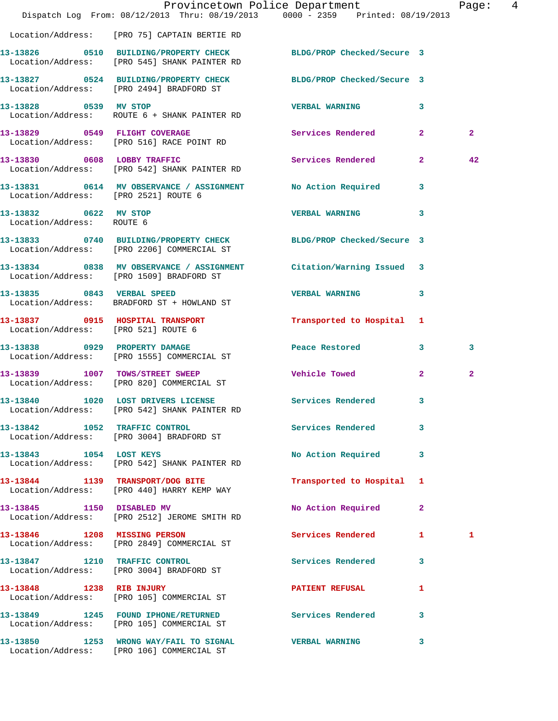|                                                    | Dispatch Log From: 08/12/2013 Thru: 08/19/2013 0000 - 2359 Printed: 08/19/2013                                   | Provincetown Police Department |                         | Page: 4        |  |
|----------------------------------------------------|------------------------------------------------------------------------------------------------------------------|--------------------------------|-------------------------|----------------|--|
|                                                    | Location/Address: [PRO 75] CAPTAIN BERTIE RD                                                                     |                                |                         |                |  |
|                                                    | 13-13826 0510 BUILDING/PROPERTY CHECK BLDG/PROP Checked/Secure 3<br>Location/Address: [PRO 545] SHANK PAINTER RD |                                |                         |                |  |
|                                                    | 13-13827 0524 BUILDING/PROPERTY CHECK BLDG/PROP Checked/Secure 3<br>Location/Address: [PRO 2494] BRADFORD ST     |                                |                         |                |  |
| 13-13828 0539 MV STOP                              | Location/Address: ROUTE 6 + SHANK PAINTER RD                                                                     | <b>VERBAL WARNING</b>          | $\mathbf{3}$            |                |  |
|                                                    | 13-13829 0549 FLIGHT COVERAGE<br>Location/Address: [PRO 516] RACE POINT RD                                       | Services Rendered 2            |                         | $\overline{2}$ |  |
|                                                    | 13-13830 0608 LOBBY TRAFFIC<br>Location/Address: [PRO 542] SHANK PAINTER RD                                      | Services Rendered 2            |                         | 42             |  |
| Location/Address: [PRO 2521] ROUTE 6               | 13-13831 0614 MV OBSERVANCE / ASSIGNMENT No Action Required                                                      |                                | $\overline{\mathbf{3}}$ |                |  |
| 13-13832 0622 MV STOP<br>Location/Address: ROUTE 6 |                                                                                                                  | <b>VERBAL WARNING</b>          | 3                       |                |  |
|                                                    | 13-13833 0740 BUILDING/PROPERTY CHECK BLDG/PROP Checked/Secure 3<br>Location/Address: [PRO 2206] COMMERCIAL ST   |                                |                         |                |  |
|                                                    | 13-13834 0838 MV OBSERVANCE / ASSIGNMENT Citation/Warning Issued 3<br>Location/Address: [PRO 1509] BRADFORD ST   |                                |                         |                |  |
|                                                    | 13-13835 0843 VERBAL SPEED<br>Location/Address: BRADFORD ST + HOWLAND ST                                         | VERBAL WARNING 3               |                         |                |  |
| Location/Address: [PRO 521] ROUTE 6                | 13-13837 0915 HOSPITAL TRANSPORT                                                                                 | Transported to Hospital 1      |                         |                |  |
|                                                    | 13-13838 0929 PROPERTY DAMAGE<br>Location/Address: [PRO 1555] COMMERCIAL ST                                      | Peace Restored and the sea     | $\overline{\mathbf{3}}$ | 3              |  |
|                                                    | 13-13839 1007 TOWS/STREET SWEEP<br>Location/Address: [PRO 820] COMMERCIAL ST                                     | <b>Vehicle Towed</b>           | $\overline{2}$          | $\mathbf{2}$   |  |
|                                                    | 13-13840 1020 LOST DRIVERS LICENSE<br>Location/Address: [PRO 542] SHANK PAINTER RD                               | Services Rendered 3            |                         |                |  |
|                                                    | 13-13842 1052 TRAFFIC CONTROL<br>Location/Address: [PRO 3004] BRADFORD ST                                        | Services Rendered              | 3                       |                |  |
| 13-13843 1054 LOST KEYS                            | Location/Address: [PRO 542] SHANK PAINTER RD                                                                     | No Action Required             | $\mathbf{3}$            |                |  |
|                                                    | 13-13844 1139 TRANSPORT/DOG BITE<br>Location/Address: [PRO 440] HARRY KEMP WAY                                   | Transported to Hospital 1      |                         |                |  |
|                                                    | 13-13845 1150 DISABLED MV<br>Location/Address: [PRO 2512] JEROME SMITH RD                                        | No Action Required             | $\mathbf{2}$            |                |  |
|                                                    | 13-13846 1208 MISSING PERSON<br>Location/Address: [PRO 2849] COMMERCIAL ST                                       | Services Rendered 1            |                         | 1              |  |
|                                                    | 13-13847 1210 TRAFFIC CONTROL<br>Location/Address: [PRO 3004] BRADFORD ST                                        | Services Rendered 3            |                         |                |  |
|                                                    | 13-13848 1238 RIB INJURY<br>Location/Address: [PRO 105] COMMERCIAL ST                                            | <b>PATIENT REFUSAL</b>         | 1                       |                |  |
|                                                    | 13-13849 1245 FOUND IPHONE/RETURNED Services Rendered 3<br>Location/Address: [PRO 105] COMMERCIAL ST             |                                |                         |                |  |
|                                                    | 13-13850 1253 WRONG WAY/FAIL TO SIGNAL WERBAL WARNING<br>Location/Address: [PRO 106] COMMERCIAL ST               |                                | 3                       |                |  |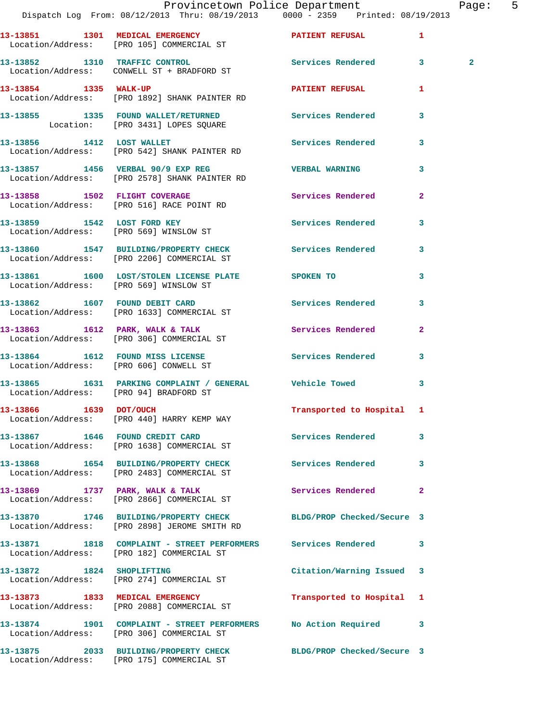|                                        | Provincetown Police Department<br>Dispatch Log From: 08/12/2013 Thru: 08/19/2013 0000 - 2359 Printed: 08/19/2013 |                            |              | Page: 5        |  |
|----------------------------------------|------------------------------------------------------------------------------------------------------------------|----------------------------|--------------|----------------|--|
|                                        |                                                                                                                  |                            |              |                |  |
|                                        | 13-13851 1301 MEDICAL EMERGENCY 1 PATIENT REFUSAL 1<br>Location/Address: [PRO 105] COMMERCIAL ST                 |                            |              |                |  |
|                                        | 13-13852 1310 TRAFFIC CONTROL 1 Services Rendered 3<br>Location/Address: CONWELL ST + BRADFORD ST                |                            |              | $\overline{2}$ |  |
|                                        | 13-13854 1335 WALK-UP<br>Location/Address: [PRO 1892] SHANK PAINTER RD                                           | PATIENT REFUSAL 1          |              |                |  |
|                                        |                                                                                                                  |                            | $\mathbf{3}$ |                |  |
|                                        | 13-13856 1412 LOST WALLET<br>Location/Address: [PRO 542] SHANK PAINTER RD                                        | Services Rendered 3        |              |                |  |
|                                        | 13-13857 1456 VERBAL 90/9 EXP REG NERBAL WARNING<br>Location/Address: [PRO 2578] SHANK PAINTER RD                |                            | $\mathbf{3}$ |                |  |
|                                        | 13-13858 1502 FLIGHT COVERAGE 3 Services Rendered 2<br>Location/Address: [PRO 516] RACE POINT RD                 |                            |              |                |  |
|                                        | 13-13859 1542 LOST FORD KEY<br>Location/Address: [PRO 569] WINSLOW ST                                            | Services Rendered 3        |              |                |  |
|                                        | 13-13860 1547 BUILDING/PROPERTY CHECK Services Rendered 3<br>Location/Address: [PRO 2206] COMMERCIAL ST          |                            |              |                |  |
|                                        | 13-13861 1600 LOST/STOLEN LICENSE PLATE SPOKEN TO<br>Location/Address: [PRO 569] WINSLOW ST                      |                            | $\mathbf{3}$ |                |  |
|                                        | 13-13862 1607 FOUND DEBIT CARD Services Rendered 3<br>Location/Address: [PRO 1633] COMMERCIAL ST                 |                            |              |                |  |
|                                        | 13-13863 1612 PARK, WALK & TALK (Services Rendered Location/Address: [PRO 306] COMMERCIAL ST                     |                            | $\mathbf{2}$ |                |  |
|                                        | 13-13864 1612 FOUND MISS LICENSE Services Rendered 3<br>Location/Address: [PRO 606] CONWELL ST                   |                            |              |                |  |
| Location/Address: [PRO 94] BRADFORD ST | 13-13865 1631 PARKING COMPLAINT / GENERAL Vehicle Towed 3                                                        |                            |              |                |  |
|                                        | 13-13866 1639 DOT/OUCH<br>Location/Address: [PRO 440] HARRY KEMP WAY                                             | Transported to Hospital 1  |              |                |  |
|                                        | 13-13867 1646 FOUND CREDIT CARD<br>Location/Address: [PRO 1638] COMMERCIAL ST                                    | Services Rendered          | $\mathbf{3}$ |                |  |
|                                        | 13-13868 1654 BUILDING/PROPERTY CHECK Services Rendered 3<br>Location/Address: [PRO 2483] COMMERCIAL ST          |                            |              |                |  |
|                                        | 13-13869 1737 PARK, WALK & TALK<br>Location/Address: [PRO 2866] COMMERCIAL ST                                    | Services Rendered          | $\mathbf{2}$ |                |  |
|                                        | 13-13870 1746 BUILDING/PROPERTY CHECK BLDG/PROP Checked/Secure 3<br>Location/Address: [PRO 2898] JEROME SMITH RD |                            |              |                |  |
|                                        | 13-13871 1818 COMPLAINT - STREET PERFORMERS Services Rendered<br>Location/Address: [PRO 182] COMMERCIAL ST       |                            | 3            |                |  |
| 13-13872 1824 SHOPLIFTING              | Location/Address: [PRO 274] COMMERCIAL ST                                                                        | Citation/Warning Issued 3  |              |                |  |
|                                        | 13-13873 1833 MEDICAL EMERGENCY<br>Location/Address: [PRO 2088] COMMERCIAL ST                                    | Transported to Hospital 1  |              |                |  |
|                                        | 13-13874 1901 COMPLAINT - STREET PERFORMERS No Action Required 3<br>Location/Address: [PRO 306] COMMERCIAL ST    |                            |              |                |  |
|                                        | 13-13875 2033 BUILDING/PROPERTY CHECK<br>Location/Address: [PRO 175] COMMERCIAL ST                               | BLDG/PROP Checked/Secure 3 |              |                |  |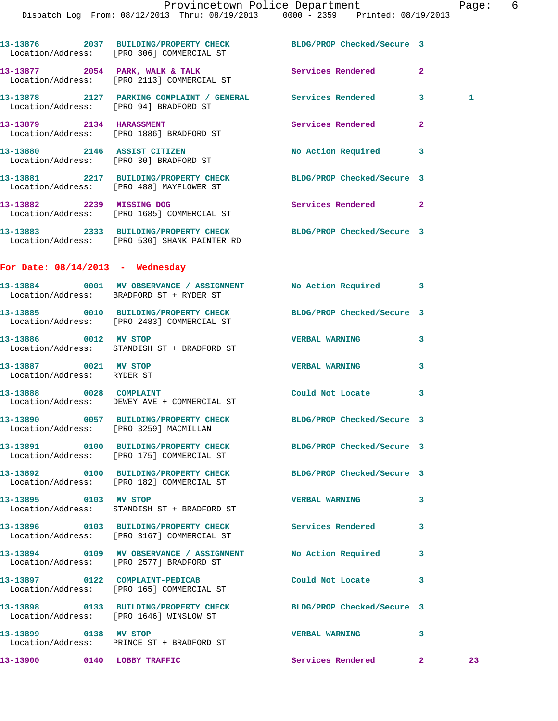|                                                     | 13-13876 2037 BUILDING/PROPERTY CHECK BLDG/PROP Checked/Secure 3<br>Location/Address: [PRO 306] COMMERCIAL ST       |                            |                |              |
|-----------------------------------------------------|---------------------------------------------------------------------------------------------------------------------|----------------------------|----------------|--------------|
|                                                     | 13-13877 2054 PARK, WALK & TALK<br>Location/Address: [PRO 2113] COMMERCIAL ST                                       | <b>Services Rendered</b>   | $\overline{2}$ |              |
|                                                     | 13-13878 2127 PARKING COMPLAINT / GENERAL Services Rendered 3<br>Location/Address: [PRO 94] BRADFORD ST             |                            |                | $\mathbf{1}$ |
|                                                     | 13-13879 2134 HARASSMENT<br>Location/Address: [PRO 1886] BRADFORD ST                                                | Services Rendered          | $\overline{a}$ |              |
|                                                     | 13-13880 2146 ASSIST CITIZEN<br>Location/Address: [PRO 30] BRADFORD ST                                              | No Action Required 3       |                |              |
|                                                     | 13-13881 2217 BUILDING/PROPERTY CHECK BLDG/PROP Checked/Secure 3<br>Location/Address: [PRO 488] MAYFLOWER ST        |                            |                |              |
| 13-13882 2239 MISSING DOG                           | Location/Address: [PRO 1685] COMMERCIAL ST                                                                          | Services Rendered 2        |                |              |
|                                                     | 13-13883 2333 BUILDING/PROPERTY CHECK BLDG/PROP Checked/Secure 3<br>Location/Address: [PRO 530] SHANK PAINTER RD    |                            |                |              |
| For Date: $08/14/2013$ - Wednesday                  |                                                                                                                     |                            |                |              |
|                                                     | 13-13884 0001 MV OBSERVANCE / ASSIGNMENT No Action Required 3<br>Location/Address: BRADFORD ST + RYDER ST           |                            |                |              |
|                                                     | 13-13885 0010 BUILDING/PROPERTY CHECK BLDG/PROP Checked/Secure 3<br>Location/Address: [PRO 2483] COMMERCIAL ST      |                            |                |              |
| 13-13886 0012 MV STOP                               | Location/Address: STANDISH ST + BRADFORD ST                                                                         | <b>VERBAL WARNING</b>      | 3              |              |
| 13-13887 0021 MV STOP<br>Location/Address: RYDER ST |                                                                                                                     | <b>VERBAL WARNING</b>      | 3              |              |
|                                                     | 13-13888 0028 COMPLAINT<br>Location/Address: DEWEY AVE + COMMERCIAL ST                                              | Could Not Locate 3         |                |              |
|                                                     | 13-13890 0057 BUILDING/PROPERTY CHECK BLDG/PROP Checked/Secure 3<br>Location/Address: [PRO 3259] MACMILLAN          |                            |                |              |
|                                                     | 13-13891 0100 BUILDING/PROPERTY CHECK<br>Location/Address: [PRO 175] COMMERCIAL ST                                  | BLDG/PROP Checked/Secure 3 |                |              |
|                                                     | 13-13892 0100 BUILDING/PROPERTY CHECK BLDG/PROP Checked/Secure 3<br>Location/Address: [PRO 182] COMMERCIAL ST       |                            |                |              |
| 13-13895 0103 MV STOP                               | Location/Address: STANDISH ST + BRADFORD ST                                                                         | <b>VERBAL WARNING</b>      | 3              |              |
|                                                     | 13-13896 0103 BUILDING/PROPERTY CHECK Services Rendered<br>Location/Address: [PRO 3167] COMMERCIAL ST               |                            | 3              |              |
|                                                     | 13-13894      0109   MV OBSERVANCE / ASSIGNMENT      No Action Required<br>Location/Address: [PRO 2577] BRADFORD ST |                            | 3              |              |
|                                                     | 13-13897 0122 COMPLAINT-PEDICAB<br>Location/Address: [PRO 165] COMMERCIAL ST                                        | Could Not Locate           | 3              |              |
|                                                     | 13-13898 0133 BUILDING/PROPERTY CHECK<br>Location/Address: [PRO 1646] WINSLOW ST                                    | BLDG/PROP Checked/Secure 3 |                |              |
| 13-13899 0138 MV STOP                               | Location/Address: PRINCE ST + BRADFORD ST                                                                           | <b>VERBAL WARNING</b>      | 3              |              |
| 13-13900 0140 LOBBY TRAFFIC                         |                                                                                                                     | <b>Services Rendered</b> 2 |                | 23           |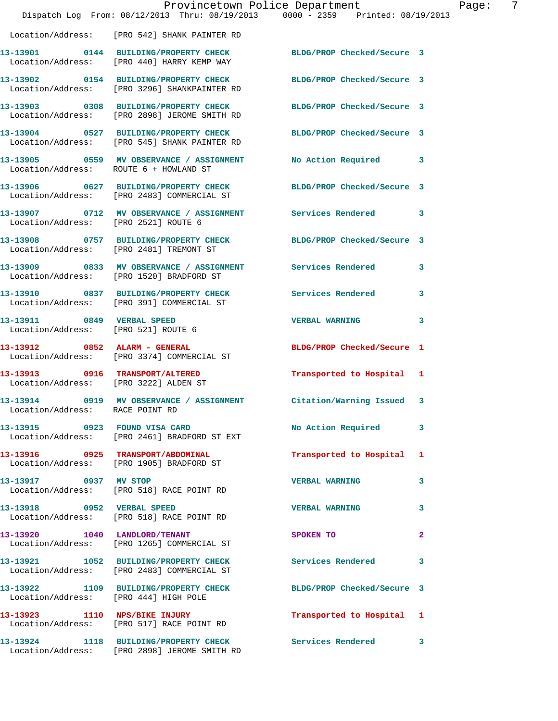|                                                                   | Dispatch Log From: 08/12/2013 Thru: 08/19/2013 0000 - 2359 Printed: 08/19/2013                                   | Provincetown Police Department | -7<br>Page:             |
|-------------------------------------------------------------------|------------------------------------------------------------------------------------------------------------------|--------------------------------|-------------------------|
|                                                                   | Location/Address: [PRO 542] SHANK PAINTER RD                                                                     |                                |                         |
|                                                                   | 13-13901 0144 BUILDING/PROPERTY CHECK BLDG/PROP Checked/Secure 3<br>Location/Address: [PRO 440] HARRY KEMP WAY   |                                |                         |
|                                                                   | 13-13902 0154 BUILDING/PROPERTY CHECK BLDG/PROP Checked/Secure 3<br>Location/Address: [PRO 3296] SHANKPAINTER RD |                                |                         |
|                                                                   | 13-13903 0308 BUILDING/PROPERTY CHECK BLDG/PROP Checked/Secure 3<br>Location/Address: [PRO 2898] JEROME SMITH RD |                                |                         |
|                                                                   | 13-13904 0527 BUILDING/PROPERTY CHECK<br>Location/Address: [PRO 545] SHANK PAINTER RD                            | BLDG/PROP Checked/Secure 3     |                         |
| Location/Address: ROUTE 6 + HOWLAND ST                            | 13-13905 0559 MV OBSERVANCE / ASSIGNMENT No Action Required 3                                                    |                                |                         |
|                                                                   | 13-13906 0627 BUILDING/PROPERTY CHECK<br>Location/Address: [PRO 2483] COMMERCIAL ST                              | BLDG/PROP Checked/Secure 3     |                         |
| Location/Address: [PRO 2521] ROUTE 6                              | 13-13907 0712 MV OBSERVANCE / ASSIGNMENT Services Rendered 3                                                     |                                |                         |
|                                                                   | 13-13908 0757 BUILDING/PROPERTY CHECK BLDG/PROP Checked/Secure 3<br>Location/Address: [PRO 2481] TREMONT ST      |                                |                         |
|                                                                   | 13-13909 0833 MV OBSERVANCE / ASSIGNMENT Services Rendered<br>Location/Address: [PRO 1520] BRADFORD ST           |                                | 3                       |
|                                                                   | 13-13910 0837 BUILDING/PROPERTY CHECK Services Rendered<br>Location/Address: [PRO 391] COMMERCIAL ST             |                                | $\mathbf{3}$            |
| 13-13911 0849 VERBAL SPEED<br>Location/Address: [PRO 521] ROUTE 6 |                                                                                                                  | <b>VERBAL WARNING</b>          | 3                       |
|                                                                   | 13-13912 0852 ALARM - GENERAL<br>Location/Address: [PRO 3374] COMMERCIAL ST                                      | BLDG/PROP Checked/Secure 1     |                         |
| Location/Address: [PRO 3222] ALDEN ST                             | 13-13913 0916 TRANSPORT/ALTERED                                                                                  | Transported to Hospital 1      |                         |
| Location/Address: RACE POINT RD                                   | 13-13914 0919 MV OBSERVANCE / ASSIGNMENT Citation/Warning Issued 3                                               |                                |                         |
|                                                                   | 13-13915 0923 FOUND VISA CARD<br>Location/Address: [PRO 2461] BRADFORD ST EXT                                    | No Action Required 3           |                         |
|                                                                   | 13-13916 0925 TRANSPORT/ABDOMINAL<br>Location/Address: [PRO 1905] BRADFORD ST                                    | Transported to Hospital 1      |                         |
| 13-13917 0937 MV STOP                                             | Location/Address: [PRO 518] RACE POINT RD                                                                        | <b>VERBAL WARNING</b>          | 3                       |
|                                                                   | 13-13918 0952 VERBAL SPEED<br>Location/Address: [PRO 518] RACE POINT RD                                          | <b>VERBAL WARNING</b>          | 3                       |
|                                                                   | 13-13920 1040 LANDLORD/TENANT<br>Location/Address: [PRO 1265] COMMERCIAL ST                                      | SPOKEN TO                      | $\mathbf{2}$            |
|                                                                   | 13-13921 1052 BUILDING/PROPERTY CHECK Services Rendered<br>Location/Address: [PRO 2483] COMMERCIAL ST            |                                | $\overline{\mathbf{3}}$ |
| Location/Address: [PRO 444] HIGH POLE                             | 13-13922 1109 BUILDING/PROPERTY CHECK BLDG/PROP Checked/Secure 3                                                 |                                |                         |
|                                                                   | 13-13923 1110 NPS/BIKE INJURY<br>Location/Address: [PRO 517] RACE POINT RD                                       | Transported to Hospital 1      |                         |
|                                                                   | 13-13924 1118 BUILDING/PROPERTY CHECK<br>Location/Address: [PRO 2898] JEROME SMITH RD                            | Services Rendered 3            |                         |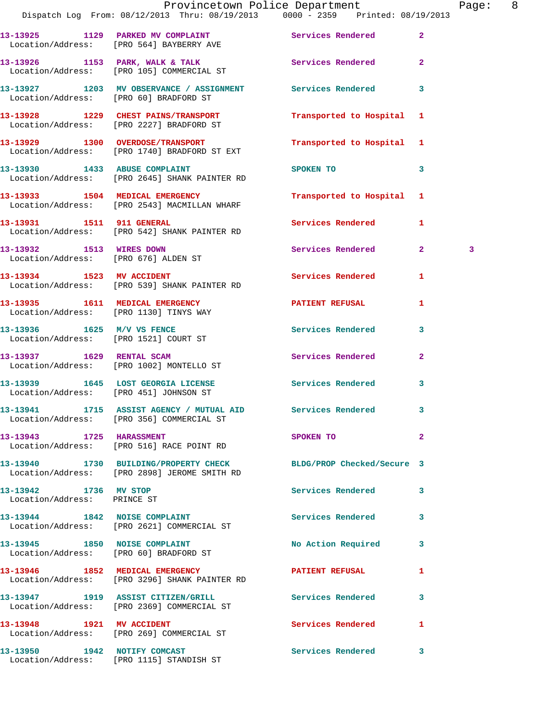|                                                      | Dispatch Log From: 08/12/2013 Thru: 08/19/2013 0000 - 2359 Printed: 08/19/2013                                   | Provincetown Police Department |                | Page: 8 |  |
|------------------------------------------------------|------------------------------------------------------------------------------------------------------------------|--------------------------------|----------------|---------|--|
|                                                      | 13-13925 1129 PARKED MV COMPLAINT Services Rendered 2<br>Location/Address: [PRO 564] BAYBERRY AVE                |                                |                |         |  |
|                                                      | 13-13926 1153 PARK, WALK & TALK 1988 Services Rendered 2<br>Location/Address: [PRO 105] COMMERCIAL ST            |                                |                |         |  |
|                                                      | 13-13927 1203 MV OBSERVANCE / ASSIGNMENT Services Rendered 3<br>Location/Address: [PRO 60] BRADFORD ST           |                                |                |         |  |
|                                                      | 13-13928 1229 CHEST PAINS/TRANSPORT<br>Location/Address: [PRO 2227] BRADFORD ST                                  | Transported to Hospital 1      |                |         |  |
|                                                      | 13-13929 1300 OVERDOSE/TRANSPORT<br>Location/Address: [PRO 1740] BRADFORD ST EXT                                 | Transported to Hospital 1      |                |         |  |
|                                                      | 13-13930 1433 ABUSE COMPLAINT<br>Location/Address: [PRO 2645] SHANK PAINTER RD                                   | SPOKEN TO                      | $\mathbf{3}$   |         |  |
|                                                      | 13-13933 1504 MEDICAL EMERGENCY<br>Location/Address: [PRO 2543] MACMILLAN WHARF                                  | Transported to Hospital 1      |                |         |  |
|                                                      | 13-13931 1511 911 GENERAL<br>Location/Address: [PRO 542] SHANK PAINTER RD                                        | Services Rendered 1            |                |         |  |
| 13-13932 1513 WIRES DOWN                             | Location/Address: [PRO 676] ALDEN ST                                                                             | Services Rendered 2            |                | 3       |  |
|                                                      | 13-13934 1523 MV ACCIDENT<br>Location/Address: [PRO 539] SHANK PAINTER RD                                        | <b>Services Rendered</b>       | 1              |         |  |
|                                                      | 13-13935 1611 MEDICAL EMERGENCY PATIENT REFUSAL<br>Location/Address: [PRO 1130] TINYS WAY                        |                                | 1              |         |  |
| Location/Address: [PRO 1521] COURT ST                | 13-13936 1625 M/V VS FENCE                                                                                       | Services Rendered              | 3              |         |  |
|                                                      | 13-13937 1629 RENTAL SCAM<br>Location/Address: [PRO 1002] MONTELLO ST                                            | Services Rendered              | $\overline{2}$ |         |  |
| Location/Address: [PRO 451] JOHNSON ST               | 13-13939 1645 LOST GEORGIA LICENSE 10 Services Rendered 3                                                        |                                |                |         |  |
|                                                      | 13-13941 1715 ASSIST AGENCY / MUTUAL AID Services Rendered<br>Location/Address: [PRO 356] COMMERCIAL ST          |                                |                |         |  |
| 13-13943 1725 HARASSMENT                             | Location/Address: [PRO 516] RACE POINT RD                                                                        | SPOKEN TO                      | $\mathbf{2}$   |         |  |
|                                                      | 13-13940 1730 BUILDING/PROPERTY CHECK BLDG/PROP Checked/Secure 3<br>Location/Address: [PRO 2898] JEROME SMITH RD |                                |                |         |  |
| 13-13942 1736 MV STOP<br>Location/Address: PRINCE ST |                                                                                                                  | Services Rendered              | $\mathbf{3}$   |         |  |
|                                                      | 13-13944 1842 NOISE COMPLAINT<br>Location/Address: [PRO 2621] COMMERCIAL ST                                      | Services Rendered 3            |                |         |  |
| Location/Address: [PRO 60] BRADFORD ST               | 13-13945 1850 NOISE COMPLAINT                                                                                    | No Action Required 3           |                |         |  |
|                                                      | 13-13946 1852 MEDICAL EMERGENCY<br>Location/Address: [PRO 3296] SHANK PAINTER RD                                 | PATIENT REFUSAL                | $\mathbf{1}$   |         |  |
|                                                      | 13-13947 1919 ASSIST CITIZEN/GRILL Services Rendered<br>Location/Address: [PRO 2369] COMMERCIAL ST               |                                | 3              |         |  |
| 13-13948 1921 MV ACCIDENT                            | Location/Address: [PRO 269] COMMERCIAL ST                                                                        | Services Rendered              | $\mathbf{1}$   |         |  |
| 13-13950 1942 NOTIFY COMCAST                         |                                                                                                                  | Services Rendered 3            |                |         |  |

Location/Address: [PRO 1115] STANDISH ST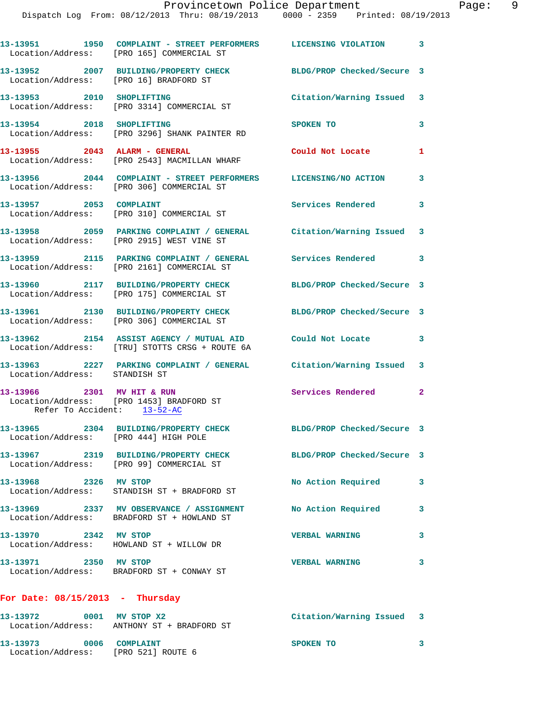|                                                                | 13-13951 1950 COMPLAINT - STREET PERFORMERS LICENSING VIOLATION 3<br>Location/Address: [PRO 165] COMMERCIAL ST   |                            |                |
|----------------------------------------------------------------|------------------------------------------------------------------------------------------------------------------|----------------------------|----------------|
|                                                                | 13-13952 2007 BUILDING/PROPERTY CHECK<br>Location/Address: [PRO 16] BRADFORD ST                                  | BLDG/PROP Checked/Secure 3 |                |
| 13-13953 2010 SHOPLIFTING                                      | Location/Address: [PRO 3314] COMMERCIAL ST                                                                       | Citation/Warning Issued    | -3             |
| 13-13954 2018 SHOPLIFTING                                      | Location/Address: [PRO 3296] SHANK PAINTER RD                                                                    | SPOKEN TO                  | 3              |
| 13-13955 2043 ALARM - GENERAL                                  | Location/Address: [PRO 2543] MACMILLAN WHARF                                                                     | Could Not Locate           | 1              |
|                                                                | 13-13956 2044 COMPLAINT - STREET PERFORMERS LICENSING/NO ACTION<br>Location/Address: [PRO 306] COMMERCIAL ST     |                            | 3              |
|                                                                | 13-13957 2053 COMPLAINT<br>Location/Address: [PRO 310] COMMERCIAL ST                                             | <b>Services Rendered</b>   | 3              |
|                                                                | 13-13958 2059 PARKING COMPLAINT / GENERAL Citation/Warning Issued 3<br>Location/Address: [PRO 2915] WEST VINE ST |                            |                |
|                                                                | 13-13959 2115 PARKING COMPLAINT / GENERAL Services Rendered<br>Location/Address: [PRO 2161] COMMERCIAL ST        |                            | 3              |
|                                                                | 13-13960 2117 BUILDING/PROPERTY CHECK<br>Location/Address: [PRO 175] COMMERCIAL ST                               | BLDG/PROP Checked/Secure 3 |                |
|                                                                | 13-13961 2130 BUILDING/PROPERTY CHECK<br>Location/Address: [PRO 306] COMMERCIAL ST                               | BLDG/PROP Checked/Secure 3 |                |
|                                                                | 13-13962 2154 ASSIST AGENCY / MUTUAL AID Could Not Locate<br>Location/Address: [TRU] STOTTS CRSG + ROUTE 6A      |                            | 3              |
| Location/Address: STANDISH ST                                  | 13-13963 2227 PARKING COMPLAINT / GENERAL Citation/Warning Issued 3                                              |                            |                |
| 13-13966 2301 MV HIT & RUN<br>Refer To Accident: 13-52-AC      | Location/Address: [PRO 1453] BRADFORD ST                                                                         | <b>Services Rendered</b>   | $\overline{a}$ |
| Location/Address: [PRO 444] HIGH POLE                          | 13-13965 2304 BUILDING/PROPERTY CHECK BLDG/PROP Checked/Secure 3                                                 |                            |                |
|                                                                | 13-13967 2319 BUILDING/PROPERTY CHECK BLDG/PROP Checked/Secure 3<br>Location/Address: [PRO 99] COMMERCIAL ST     |                            |                |
| 13-13968 2326 MV STOP                                          | Location/Address: STANDISH ST + BRADFORD ST                                                                      | No Action Required         | 3              |
|                                                                | 13-13969 2337 MV OBSERVANCE / ASSIGNMENT<br>Location/Address: BRADFORD ST + HOWLAND ST                           | No Action Required         | 3              |
| 13-13970 2342 MV STOP                                          | Location/Address: HOWLAND ST + WILLOW DR                                                                         | <b>VERBAL WARNING</b>      | 3              |
| 13-13971 2350 MV STOP                                          | Location/Address: BRADFORD ST + CONWAY ST                                                                        | <b>VERBAL WARNING</b>      | 3              |
| For Date: $08/15/2013$ - Thursday                              |                                                                                                                  |                            |                |
| 13-13972 0001 MV STOP X2                                       | Location/Address: ANTHONY ST + BRADFORD ST                                                                       | Citation/Warning Issued 3  |                |
| 13-13973 0006 COMPLAINT<br>Location/Address: [PRO 521] ROUTE 6 |                                                                                                                  | SPOKEN TO                  | 3              |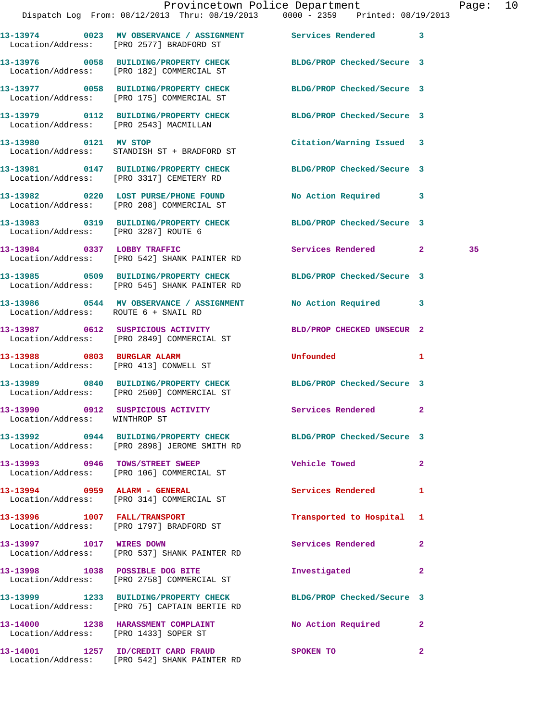|                                      |                                                                                                                  | Provincetown Police Department                                                 | Page: 10 |  |
|--------------------------------------|------------------------------------------------------------------------------------------------------------------|--------------------------------------------------------------------------------|----------|--|
|                                      |                                                                                                                  | Dispatch Log From: 08/12/2013 Thru: 08/19/2013 0000 - 2359 Printed: 08/19/2013 |          |  |
|                                      | 13-13974 0023 MV OBSERVANCE / ASSIGNMENT Services Rendered 3<br>Location/Address: [PRO 2577] BRADFORD ST         |                                                                                |          |  |
|                                      | 13-13976 0058 BUILDING/PROPERTY CHECK BLDG/PROP Checked/Secure 3<br>Location/Address: [PRO 182] COMMERCIAL ST    |                                                                                |          |  |
|                                      | 13-13977 0058 BUILDING/PROPERTY CHECK BLDG/PROP Checked/Secure 3<br>Location/Address: [PRO 175] COMMERCIAL ST    |                                                                                |          |  |
|                                      | 13-13979 0112 BUILDING/PROPERTY CHECK BLDG/PROP Checked/Secure 3<br>Location/Address: [PRO 2543] MACMILLAN       |                                                                                |          |  |
|                                      | 13-13980 0121 MV STOP<br>Location/Address: STANDISH ST + BRADFORD ST                                             | Citation/Warning Issued 3                                                      |          |  |
|                                      | 13-13981 0147 BUILDING/PROPERTY CHECK BLDG/PROP Checked/Secure 3<br>Location/Address: [PRO 3317] CEMETERY RD     |                                                                                |          |  |
|                                      | 13-13982 0220 LOST PURSE/PHONE FOUND<br>Location/Address: [PRO 208] COMMERCIAL ST                                | No Action Required 3                                                           |          |  |
| Location/Address: [PRO 3287] ROUTE 6 | 13-13983 0319 BUILDING/PROPERTY CHECK BLDG/PROP Checked/Secure 3                                                 |                                                                                |          |  |
|                                      | 13-13984 0337 LOBBY TRAFFIC<br>Location/Address: [PRO 542] SHANK PAINTER RD                                      | Services Rendered 2                                                            | 35       |  |
|                                      | 13-13985 0509 BUILDING/PROPERTY CHECK BLDG/PROP Checked/Secure 3<br>Location/Address: [PRO 545] SHANK PAINTER RD |                                                                                |          |  |
| Location/Address: ROUTE 6 + SNAIL RD | 13-13986 0544 MV OBSERVANCE / ASSIGNMENT No Action Required 3                                                    |                                                                                |          |  |
|                                      | 13-13987 0612 SUSPICIOUS ACTIVITY<br>Location/Address: [PRO 2849] COMMERCIAL ST                                  | BLD/PROP CHECKED UNSECUR 2                                                     |          |  |
| 13-13988 0803 BURGLAR ALARM          | Location/Address: [PRO 413] CONWELL ST                                                                           | Unfounded 1                                                                    |          |  |
|                                      | 13-13989 0840 BUILDING/PROPERTY CHECK BLDG/PROP Checked/Secure 3<br>Location/Address: [PRO 2500] COMMERCIAL ST   |                                                                                |          |  |
| Location/Address: WINTHROP ST        | 13-13990 0912 SUSPICIOUS ACTIVITY 6 Services Rendered 2                                                          |                                                                                |          |  |
|                                      | 13-13992 0944 BUILDING/PROPERTY CHECK BLDG/PROP Checked/Secure 3<br>Location/Address: [PRO 2898] JEROME SMITH RD |                                                                                |          |  |
|                                      | 13-13993 0946 TOWS/STREET SWEEP<br>Location/Address: [PRO 106] COMMERCIAL ST                                     | <b>Vehicle Towed</b><br>$\mathbf{2}$                                           |          |  |
|                                      | 13-13994 0959 ALARM - GENERAL<br>Location/Address: [PRO 314] COMMERCIAL ST                                       | Services Rendered 1                                                            |          |  |
|                                      | 13-13996 1007 FALL/TRANSPORT<br>Location/Address: [PRO 1797] BRADFORD ST                                         | Transported to Hospital 1                                                      |          |  |
|                                      | 13-13997 1017 WIRES DOWN<br>Location/Address: [PRO 537] SHANK PAINTER RD                                         | Services Rendered 2                                                            |          |  |
|                                      | 13-13998 1038 POSSIBLE DOG BITE<br>Location/Address: [PRO 2758] COMMERCIAL ST                                    | Investigated 2                                                                 |          |  |
|                                      | 13-13999 1233 BUILDING/PROPERTY CHECK BLDG/PROP Checked/Secure 3<br>Location/Address: [PRO 75] CAPTAIN BERTIE RD |                                                                                |          |  |
|                                      | 13-14000 1238 HARASSMENT COMPLAINT No Action Required 2<br>Location/Address: [PRO 1433] SOPER ST                 |                                                                                |          |  |
|                                      |                                                                                                                  | $\mathbf{2}$                                                                   |          |  |

Location/Address: [PRO 542] SHANK PAINTER RD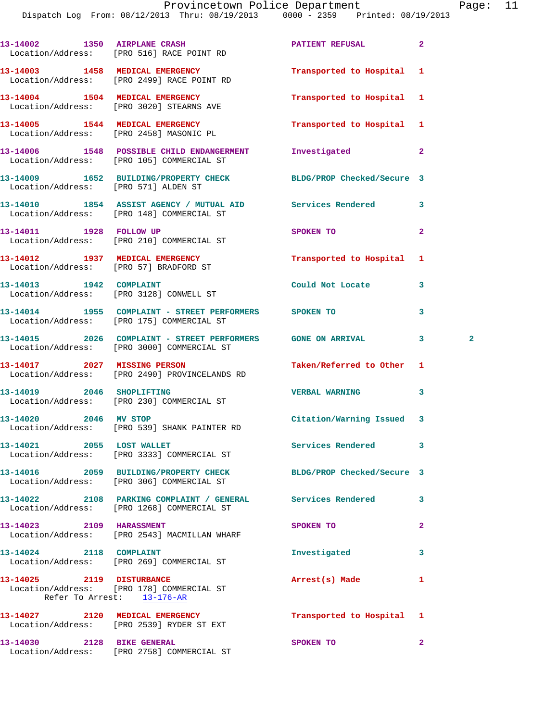Dispatch Log From: 08/12/2013 Thru: 08/19/2013 0000 - 2359 Printed: 08/19/2013

|                                      | 13-14002 1350 AIRPLANE CRASH<br>Location/Address: [PRO 516] RACE POINT RD                                 | PATIENT REFUSAL            | $\overline{a}$    |  |
|--------------------------------------|-----------------------------------------------------------------------------------------------------------|----------------------------|-------------------|--|
|                                      | 13-14003 1458 MEDICAL EMERGENCY<br>Location/Address: [PRO 2499] RACE POINT RD                             | Transported to Hospital    | 1                 |  |
|                                      | 13-14004 1504 MEDICAL EMERGENCY<br>Location/Address: [PRO 3020] STEARNS AVE                               | Transported to Hospital 1  |                   |  |
|                                      | 13-14005 1544 MEDICAL EMERGENCY<br>Location/Address: [PRO 2458] MASONIC PL                                | Transported to Hospital 1  |                   |  |
|                                      | 13-14006 1548 POSSIBLE CHILD ENDANGERMENT<br>Location/Address: [PRO 105] COMMERCIAL ST                    | Investigated               | $\mathbf{2}$      |  |
| Location/Address: [PRO 571] ALDEN ST | 13-14009 1652 BUILDING/PROPERTY CHECK                                                                     | BLDG/PROP Checked/Secure 3 |                   |  |
|                                      | 13-14010 1854 ASSIST AGENCY / MUTUAL AID Services Rendered<br>Location/Address: [PRO 148] COMMERCIAL ST   |                            | 3                 |  |
|                                      | 13-14011 1928 FOLLOW UP<br>Location/Address: [PRO 210] COMMERCIAL ST                                      | SPOKEN TO                  | $\mathbf{2}$      |  |
|                                      | 13-14012 1937 MEDICAL EMERGENCY<br>Location/Address: [PRO 57] BRADFORD ST                                 | Transported to Hospital 1  |                   |  |
|                                      | 13-14013    1942    COMPLAINT<br>Location/Address: [PRO 3128] CONWELL ST                                  | Could Not Locate           | 3                 |  |
|                                      | 13-14014 1955 COMPLAINT - STREET PERFORMERS SPOKEN TO<br>Location/Address: [PRO 175] COMMERCIAL ST        |                            | 3                 |  |
|                                      | 13-14015 2026 COMPLAINT - STREET PERFORMERS GONE ON ARRIVAL<br>Location/Address: [PRO 3000] COMMERCIAL ST |                            | 3<br>$\mathbf{2}$ |  |
| 13-14017 2027 MISSING PERSON         | Location/Address: [PRO 2490] PROVINCELANDS RD                                                             | Taken/Referred to Other    | 1                 |  |
|                                      | 13-14019 2046 SHOPLIFTING<br>Location/Address: [PRO 230] COMMERCIAL ST                                    | <b>VERBAL WARNING</b>      | 3                 |  |
| 13-14020 2046 MV STOP                | Location/Address: [PRO 539] SHANK PAINTER RD                                                              | Citation/Warning Issued 3  |                   |  |
|                                      | 13-14021 2055 LOST WALLET<br>Location/Address: [PRO 3333] COMMERCIAL ST                                   | Services Rendered          | 3                 |  |
|                                      | 13-14016 2059 BUILDING/PROPERTY CHECK<br>Location/Address: [PRO 306] COMMERCIAL ST                        | BLDG/PROP Checked/Secure 3 |                   |  |
|                                      | 13-14022 2108 PARKING COMPLAINT / GENERAL Services Rendered<br>Location/Address: [PRO 1268] COMMERCIAL ST |                            | 3                 |  |
| 13-14023 2109 HARASSMENT             | Location/Address: [PRO 2543] MACMILLAN WHARF                                                              | SPOKEN TO                  | $\overline{a}$    |  |
| 13-14024 2118 COMPLAINT              | Location/Address: [PRO 269] COMMERCIAL ST                                                                 | Investigated               | 3                 |  |
| 13-14025 2119 DISTURBANCE            | Location/Address: [PRO 178] COMMERCIAL ST<br>Refer To Arrest: 13-176-AR                                   | Arrest(s) Made             | 1                 |  |
|                                      | 13-14027 2120 MEDICAL EMERGENCY<br>Location/Address: [PRO 2539] RYDER ST EXT                              | Transported to Hospital 1  |                   |  |
| 13-14030 2128 BIKE GENERAL           | Location/Address: [PRO 2758] COMMERCIAL ST                                                                | SPOKEN TO                  | $\mathbf{2}$      |  |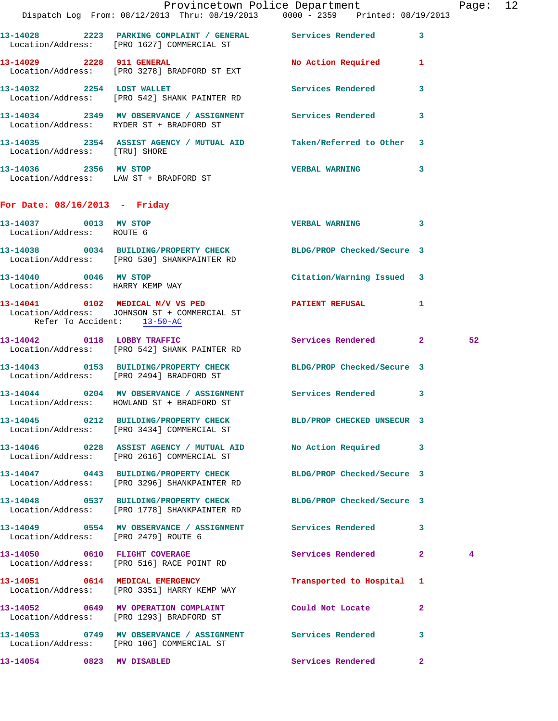|                                                    |                                                                                                         | Provincetown Police Department                                                 | Page: 12 |
|----------------------------------------------------|---------------------------------------------------------------------------------------------------------|--------------------------------------------------------------------------------|----------|
|                                                    |                                                                                                         | Dispatch Log From: 08/12/2013 Thru: 08/19/2013 0000 - 2359 Printed: 08/19/2013 |          |
|                                                    | Location/Address: [PRO 1627] COMMERCIAL ST                                                              | 13-14028 2223 PARKING COMPLAINT / GENERAL Services Rendered 3                  |          |
| 13-14029 2228 911 GENERAL                          | Location/Address: [PRO 3278] BRADFORD ST EXT                                                            | No Action Required 1                                                           |          |
|                                                    | 13-14032 2254 LOST WALLET<br>Location/Address: [PRO 542] SHANK PAINTER RD                               | Services Rendered 3                                                            |          |
|                                                    | 13-14034 2349 MV OBSERVANCE / ASSIGNMENT Services Rendered<br>Location/Address: RYDER ST + BRADFORD ST  | $\mathbf{3}$                                                                   |          |
| Location/Address: [TRU] SHORE                      |                                                                                                         | 13-14035 2354 ASSIST AGENCY / MUTUAL AID Taken/Referred to Other 3             |          |
|                                                    | 13-14036  2356 MV STOP<br>Location/Address: LAW ST + BRADFORD ST                                        | VERBAL WARNING 3                                                               |          |
| For Date: $08/16/2013$ - Friday                    |                                                                                                         |                                                                                |          |
| 13-14037 0013 MV STOP<br>Location/Address: ROUTE 6 |                                                                                                         | VERBAL WARNING 3                                                               |          |
|                                                    | Location/Address: [PRO 530] SHANKPAINTER RD                                                             | 13-14038 0034 BUILDING/PROPERTY CHECK BLDG/PROP Checked/Secure 3               |          |
| Location/Address: HARRY KEMP WAY                   | 13-14040 0046 MV STOP                                                                                   | Citation/Warning Issued 3                                                      |          |
| Refer To Accident: 13-50-AC                        | Location/Address: JOHNSON ST + COMMERCIAL ST                                                            | 13-14041  0102 MEDICAL M/V VS PED  PATIENT REFUSAL  1                          |          |
|                                                    | 13-14042 0118 LOBBY TRAFFIC<br>Location/Address: [PRO 542] SHANK PAINTER RD                             | Services Rendered 2                                                            | 52       |
|                                                    | Location/Address: [PRO 2494] BRADFORD ST                                                                | 13-14043 0153 BUILDING/PROPERTY CHECK BLDG/PROP Checked/Secure 3               |          |
|                                                    | Location/Address: HOWLAND ST + BRADFORD ST                                                              | 13-14044 0204 MV OBSERVANCE / ASSIGNMENT Services Rendered 3                   |          |
|                                                    | Location/Address: [PRO 3434] COMMERCIAL ST                                                              | 13-14045 0212 BUILDING/PROPERTY CHECK BLD/PROP CHECKED UNSECUR 3               |          |
|                                                    | Location/Address: [PRO 2616] COMMERCIAL ST                                                              | 13-14046 0228 ASSIST AGENCY / MUTUAL AID No Action Required 3                  |          |
|                                                    | Location/Address: [PRO 3296] SHANKPAINTER RD                                                            | 13-14047 0443 BUILDING/PROPERTY CHECK BLDG/PROP Checked/Secure 3               |          |
|                                                    | 13-14048 0537 BUILDING/PROPERTY CHECK<br>Location/Address: [PRO 1778] SHANKPAINTER RD                   | BLDG/PROP Checked/Secure 3                                                     |          |
| Location/Address: [PRO 2479] ROUTE 6               |                                                                                                         | 13-14049 0554 MV OBSERVANCE / ASSIGNMENT Services Rendered 3                   |          |
|                                                    | 13-14050 0610 FLIGHT COVERAGE<br>Location/Address: [PRO 516] RACE POINT RD                              | Services Rendered 2                                                            | 4        |
|                                                    | 13-14051 0614 MEDICAL EMERGENCY<br>Location/Address: [PRO 3351] HARRY KEMP WAY                          | Transported to Hospital 1                                                      |          |
|                                                    | 13-14052 0649 MV OPERATION COMPLAINT Could Not Locate<br>Location/Address: [PRO 1293] BRADFORD ST       | $\mathbf{2}$                                                                   |          |
|                                                    | 13-14053 0749 MV OBSERVANCE / ASSIGNMENT Services Rendered<br>Location/Address: [PRO 106] COMMERCIAL ST | 3                                                                              |          |
| 13-14054 0823 MV DISABLED                          |                                                                                                         | Services Rendered 2                                                            |          |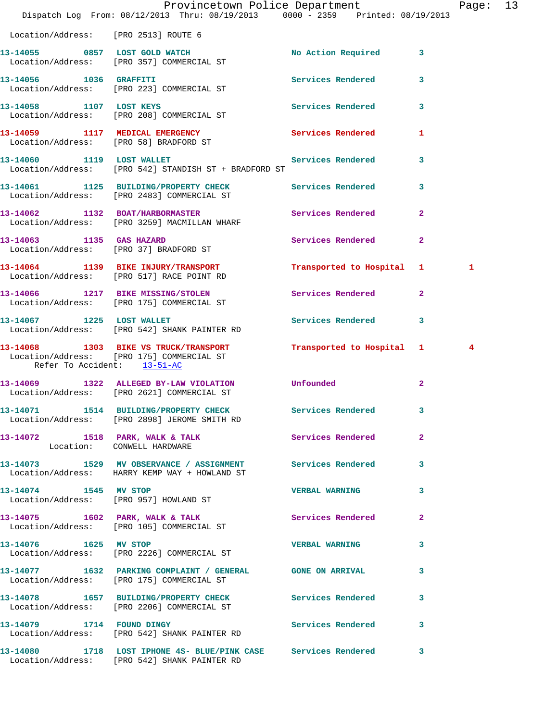|                                      | Provincetown Police Department<br>Dispatch Log From: 08/12/2013 Thru: 08/19/2013 0000 - 2359 Printed: 08/19/2013                              |                           |                | Page: 13 |  |
|--------------------------------------|-----------------------------------------------------------------------------------------------------------------------------------------------|---------------------------|----------------|----------|--|
| Location/Address: [PRO 2513] ROUTE 6 |                                                                                                                                               |                           |                |          |  |
|                                      | 13-14055 0857 LOST GOLD WATCH<br>Location/Address: [PRO 357] COMMERCIAL ST                                                                    | No Action Required 3      |                |          |  |
|                                      | 13-14056 1036 GRAFFITI<br>Location/Address: [PRO 223] COMMERCIAL ST                                                                           | <b>Services Rendered</b>  | 3              |          |  |
| 13-14058 1107 LOST KEYS              | Location/Address: [PRO 208] COMMERCIAL ST                                                                                                     | Services Rendered 3       |                |          |  |
|                                      | 13-14059 1117 MEDICAL EMERGENCY<br>Location/Address: [PRO 58] BRADFORD ST                                                                     | Services Rendered         | 1              |          |  |
| 13-14060 1119 LOST WALLET            | Location/Address: [PRO 542] STANDISH ST + BRADFORD ST                                                                                         | Services Rendered 3       |                |          |  |
|                                      | 13-14061 1125 BUILDING/PROPERTY CHECK Services Rendered<br>Location/Address: [PRO 2483] COMMERCIAL ST                                         |                           | 3              |          |  |
|                                      | 13-14062 1132 BOAT/HARBORMASTER Services Rendered<br>Location/Address: [PRO 3259] MACMILLAN WHARF                                             |                           | $\overline{a}$ |          |  |
|                                      | 13-14063 1135 GAS HAZARD<br>Location/Address: [PRO 37] BRADFORD ST                                                                            | Services Rendered         | $\overline{2}$ |          |  |
|                                      | 13-14064 1139 BIKE INJURY/TRANSPORT<br>Location/Address: [PRO 517] RACE POINT RD                                                              | Transported to Hospital 1 |                | 1        |  |
|                                      | 13-14066 1217 BIKE MISSING/STOLEN Services Rendered 2<br>Location/Address: [PRO 175] COMMERCIAL ST                                            |                           |                |          |  |
|                                      | 13-14067 1225 LOST WALLET<br>Location/Address: [PRO 542] SHANK PAINTER RD                                                                     | Services Rendered         | 3              |          |  |
| Refer To Accident: 13-51-AC          | 13-14068 1303 BIKE VS TRUCK/TRANSPORT Transported to Hospital 1 4<br>Location/Address: [PRO 175] COMMERCIAL ST<br>Refer To Accident: 13-51-AC |                           |                |          |  |
|                                      | 13-14069 1322 ALLEGED BY-LAW VIOLATION Unfounded<br>Location/Address: [PRO 2621] COMMERCIAL ST                                                |                           | $\overline{2}$ |          |  |
|                                      | 13-14071 1514 BUILDING/PROPERTY CHECK Services Rendered 3<br>Location/Address: [PRO 2898] JEROME SMITH RD                                     |                           |                |          |  |
| Location: CONWELL HARDWARE           | 13-14072 1518 PARK, WALK & TALK 6 Services Rendered                                                                                           |                           | $\overline{a}$ |          |  |
|                                      | 13-14073 1529 MV OBSERVANCE / ASSIGNMENT Services Rendered 3<br>Location/Address: HARRY KEMP WAY + HOWLAND ST                                 |                           |                |          |  |
| 13-14074 1545 MV STOP                | Location/Address: [PRO 957] HOWLAND ST                                                                                                        | <b>VERBAL WARNING</b>     | 3              |          |  |
|                                      | 13-14075 1602 PARK, WALK & TALK<br>Location/Address: [PRO 105] COMMERCIAL ST                                                                  | Services Rendered 2       |                |          |  |
| 13-14076  1625 MV STOP               | Location/Address: [PRO 2226] COMMERCIAL ST                                                                                                    | <b>VERBAL WARNING</b>     | 3              |          |  |
|                                      | 13-14077 1632 PARKING COMPLAINT / GENERAL GONE ON ARRIVAL 3<br>Location/Address: [PRO 175] COMMERCIAL ST                                      |                           |                |          |  |
|                                      | 13-14078 1657 BUILDING/PROPERTY CHECK Services Rendered<br>Location/Address: [PRO 2206] COMMERCIAL ST                                         |                           | 3              |          |  |
| 13-14079 1714 FOUND DINGY            | Location/Address: [PRO 542] SHANK PAINTER RD                                                                                                  | Services Rendered 3       |                |          |  |
|                                      | 13-14080 1718 LOST IPHONE 4S- BLUE/PINK CASE Services Rendered 3<br>Location/Address: [PRO 542] SHANK PAINTER RD                              |                           |                |          |  |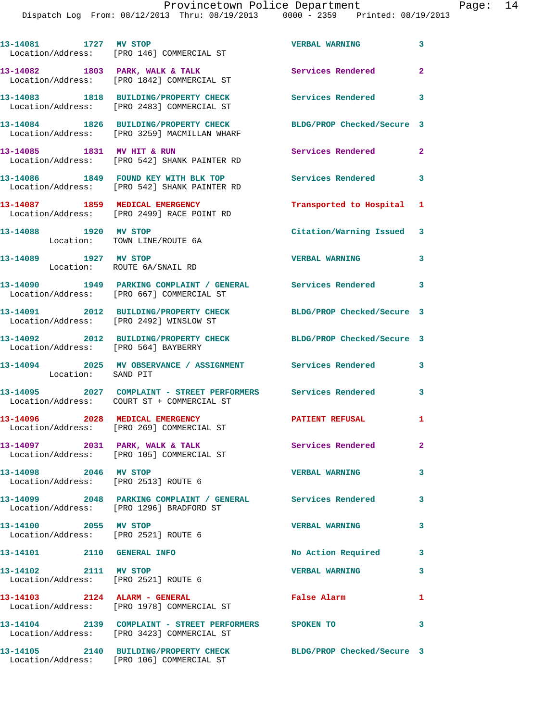|                                                                    |                    | Provincetown Police Department                                                 |                            |                |
|--------------------------------------------------------------------|--------------------|--------------------------------------------------------------------------------|----------------------------|----------------|
|                                                                    |                    | Dispatch Log From: 08/12/2013 Thru: 08/19/2013 0000 - 2359 Printed: 08/19/2013 |                            |                |
|                                                                    |                    |                                                                                |                            |                |
| 13-14081 1727 MV STOP<br>Location/Address: [PRO 146] COMMERCIAL ST |                    |                                                                                | <b>VERBAL WARNING</b>      | 3              |
|                                                                    |                    |                                                                                |                            |                |
| 13-14082 1803 PARK, WALK & TALK                                    |                    |                                                                                | <b>Services Rendered</b>   | $\overline{2}$ |
| Location/Address: [PRO 1842] COMMERCIAL ST                         |                    |                                                                                |                            |                |
| 13-14083 1818 BUILDING/PROPERTY CHECK                              |                    |                                                                                | <b>Services Rendered</b>   | 3              |
| Location/Address: [PRO 2483] COMMERCIAL ST                         |                    |                                                                                |                            |                |
| 13-14084 1826 BUILDING/PROPERTY CHECK                              |                    |                                                                                | BLDG/PROP Checked/Secure 3 |                |
| Location/Address: [PRO 3259] MACMILLAN WHARF                       |                    |                                                                                |                            |                |
| 13-14085 1831 MV HIT & RUN                                         |                    |                                                                                | <b>Services Rendered</b>   | $\overline{2}$ |
| Location/Address: [PRO 542] SHANK PAINTER RD                       |                    |                                                                                |                            |                |
| 13-14086 1849 FOUND KEY WITH BLK TOP                               |                    |                                                                                | Services Rendered          | 3              |
| Location/Address: [PRO 542] SHANK PAINTER RD                       |                    |                                                                                |                            |                |
| 13-14087 1859 MEDICAL EMERGENCY                                    |                    |                                                                                | Transported to Hospital 1  |                |
| Location/Address: [PRO 2499] RACE POINT RD                         |                    |                                                                                |                            |                |
| 13-14088                                                           | 1920 MV STOP       |                                                                                | Citation/Warning Issued 3  |                |
| Location:                                                          | TOWN LINE/ROUTE 6A |                                                                                |                            |                |

 Location: ROUTE 6A/SNAIL RD **13-14090 1949 PARKING COMPLAINT / GENERAL Services Rendered 3**  Location/Address: [PRO 667] COMMERCIAL ST **13-14091 2012 BUILDING/PROPERTY CHECK BLDG/PROP Checked/Secure 3**  Location/Address: [PRO 2492] WINSLOW ST **13-14092 2012 BUILDING/PROPERTY CHECK BLDG/PROP Checked/Secure 3**  Location/Address: [PRO 564] BAYBERRY **13-14094 2025 MV OBSERVANCE / ASSIGNMENT Services Rendered 3**  Location: SAND PIT **13-14095 2027 COMPLAINT - STREET PERFORMERS Services Rendered 3**  Location/Address: COURT ST + COMMERCIAL ST **13-14096 2028 MEDICAL EMERGENCY PATIENT REFUSAL 1**  Location/Address: [PRO 269] COMMERCIAL ST 13-14097 2031 PARK, WALK & TALK **Services Rendered** 2 Location/Address: [PRO 105] COMMERCIAL ST

**13-14089 1927 MV STOP VERBAL WARNING 3** 

**13-14098 2046 MV STOP VERBAL WARNING 3**  Location/Address: [PRO 2513] ROUTE 6 **13-14099 2048 PARKING COMPLAINT / GENERAL Services Rendered 3**  Location/Address: [PRO 1296] BRADFORD ST **13-14100 2055 MV STOP VERBAL WARNING 3**  Location/Address: [PRO 2521] ROUTE 6 **13-14101 2110 GENERAL INFO No Action Required 3** 

**13-14102 2111 MV STOP VERBAL WARNING 3**  Location/Address: [PRO 2521] ROUTE 6 **13-14103 2124 ALARM - GENERAL False Alarm 1**  Location/Address: [PRO 1978] COMMERCIAL ST **13-14104 2139 COMPLAINT - STREET PERFORMERS SPOKEN TO 3**  Location/Address: [PRO 3423] COMMERCIAL ST

**13-14105 2140 BUILDING/PROPERTY CHECK BLDG/PROP Checked/Secure 3**  Location/Address: [PRO 106] COMMERCIAL ST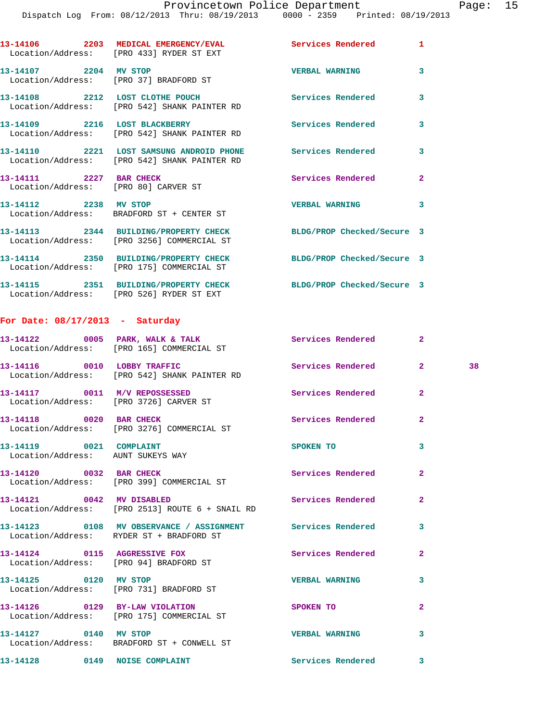|                                                                 | 13-14106 2203 MEDICAL EMERGENCY/EVAL 2007 Services Rendered<br>Location/Address: [PRO 433] RYDER ST EXT |                            | $\mathbf{1}$            |
|-----------------------------------------------------------------|---------------------------------------------------------------------------------------------------------|----------------------------|-------------------------|
| 13-14107 2204 MV STOP<br>Location/Address: [PRO 37] BRADFORD ST |                                                                                                         | <b>VERBAL WARNING</b>      | $\overline{\mathbf{3}}$ |
|                                                                 | 13-14108 2212 LOST CLOTHE POUCH<br>Location/Address: [PRO 542] SHANK PAINTER RD                         | <b>Services Rendered</b>   | $\mathbf{3}$            |
|                                                                 | 13-14109 2216 LOST BLACKBERRY<br>Location/Address: [PRO 542] SHANK PAINTER RD                           | <b>Services Rendered</b>   | 3                       |
|                                                                 | Location/Address: [PRO 542] SHANK PAINTER RD                                                            |                            | $\mathbf{3}$            |
| 13-14111 2227 BAR CHECK<br>Location/Address: [PRO 80] CARVER ST |                                                                                                         | <b>Services Rendered</b>   | $\overline{2}$          |
|                                                                 | 13-14112 2238 MV STOP<br>Location/Address: BRADFORD ST + CENTER ST                                      | <b>VERBAL WARNING</b>      | 3                       |
|                                                                 | 13-14113 2344 BUILDING/PROPERTY CHECK<br>Location/Address: [PRO 3256] COMMERCIAL ST                     | BLDG/PROP Checked/Secure 3 |                         |
|                                                                 | 13-14114 2350 BUILDING/PROPERTY CHECK BLDG/PROP Checked/Secure 3                                        |                            |                         |

 Location/Address: [PRO 175] COMMERCIAL ST **13-14115 2351 BUILDING/PROPERTY CHECK BLDG/PROP Checked/Secure 3**  Location/Address: [PRO 526] RYDER ST EXT

## **For Date: 08/17/2013 - Saturday**

|                                                              | 13-14122 0005 PARK, WALK & TALK<br>Location/Address: [PRO 165] COMMERCIAL ST                           | <b>Services Rendered</b> | $\overline{2}$          |    |
|--------------------------------------------------------------|--------------------------------------------------------------------------------------------------------|--------------------------|-------------------------|----|
|                                                              | 13-14116 0010 LOBBY TRAFFIC<br>Location/Address: [PRO 542] SHANK PAINTER RD                            | Services Rendered        | $\overline{2}$          | 38 |
|                                                              | 13-14117 0011 M/V REPOSSESSED<br>Location/Address: [PRO 3726] CARVER ST                                | Services Rendered        | $\overline{2}$          |    |
| 13-14118 0020 BAR CHECK                                      | Location/Address: [PRO 3276] COMMERCIAL ST                                                             | <b>Services Rendered</b> | $\overline{2}$          |    |
| 13-14119 0021 COMPLAINT<br>Location/Address: AUNT SUKEYS WAY |                                                                                                        | SPOKEN TO                | $\overline{\mathbf{3}}$ |    |
|                                                              | 13-14120 0032 BAR CHECK<br>Location/Address: [PRO 399] COMMERCIAL ST                                   | <b>Services Rendered</b> | $\overline{2}$          |    |
|                                                              | 13-14121 0042 MV DISABLED<br>Location/Address: [PRO 2513] ROUTE 6 + SNAIL RD                           | Services Rendered        | $\overline{2}$          |    |
|                                                              | 13-14123 0108 MV OBSERVANCE / ASSIGNMENT Services Rendered<br>Location/Address: RYDER ST + BRADFORD ST |                          | 3                       |    |
| Location/Address: [PRO 94] BRADFORD ST                       | 13-14124 0115 AGGRESSIVE FOX                                                                           | <b>Services Rendered</b> | $\overline{2}$          |    |
| 13-14125 0120 MV STOP                                        | Location/Address: [PRO 731] BRADFORD ST                                                                | <b>VERBAL WARNING</b>    | $\overline{\mathbf{3}}$ |    |
|                                                              | 13-14126  0129 BY-LAW VIOLATION<br>Location/Address: [PRO 175] COMMERCIAL ST                           | SPOKEN TO                | $\overline{2}$          |    |
|                                                              | 13-14127 0140 MV STOP<br>Location/Address: BRADFORD ST + CONWELL ST                                    | <b>VERBAL WARNING</b>    | $\overline{\mathbf{3}}$ |    |
| 13-14128 0149 NOISE COMPLAINT                                |                                                                                                        | <b>Services Rendered</b> | 3                       |    |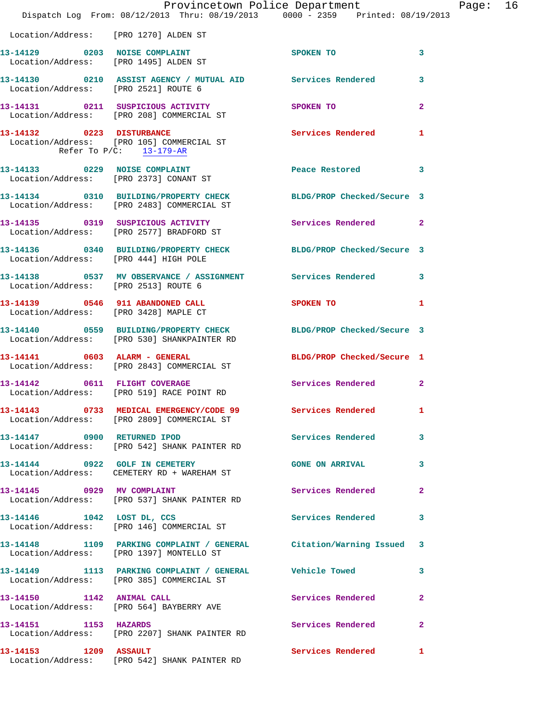|                                       | Provincetown Police Department Fage: 16<br>Dispatch Log From: 08/12/2013 Thru: 08/19/2013 0000 - 2359 Printed: 08/19/2013 |                             |              |  |
|---------------------------------------|---------------------------------------------------------------------------------------------------------------------------|-----------------------------|--------------|--|
| Location/Address: [PRO 1270] ALDEN ST |                                                                                                                           |                             |              |  |
|                                       | 13-14129 0203 NOISE COMPLAINT<br>Location/Address: [PRO 1495] ALDEN ST                                                    | SPOKEN TO                   | 3            |  |
|                                       |                                                                                                                           |                             |              |  |
|                                       | 13-14131 0211 SUSPICIOUS ACTIVITY SPOKEN TO<br>Location/Address: [PRO 208] COMMERCIAL ST                                  |                             | $\mathbf{2}$ |  |
| Refer To P/C: 13-179-AR               | 13-14132 0223 DISTURBANCE Services Rendered 1<br>Location/Address: [PRO 105] COMMERCIAL ST                                |                             |              |  |
|                                       | 13-14133 0229 NOISE COMPLAINT Peace Restored 3<br>Location/Address: [PRO 2373] CONANT ST                                  |                             |              |  |
|                                       | 13-14134 0310 BUILDING/PROPERTY CHECK BLDG/PROP Checked/Secure 3<br>Location/Address: [PRO 2483] COMMERCIAL ST            |                             |              |  |
|                                       | 13-14135 0319 SUSPICIOUS ACTIVITY 1991 Services Rendered 2<br>Location/Address: [PRO 2577] BRADFORD ST                    |                             |              |  |
|                                       | 13-14136 0340 BUILDING/PROPERTY CHECK BLDG/PROP Checked/Secure 3<br>Location/Address: [PRO 444] HIGH POLE                 |                             |              |  |
| Location/Address: [PRO 2513] ROUTE 6  | 13-14138 0537 MV OBSERVANCE / ASSIGNMENT Services Rendered 3                                                              |                             |              |  |
| Location/Address: [PRO 3428] MAPLE CT | 13-14139 0546 911 ABANDONED CALL                                                                                          | SPOKEN TO<br>$\blacksquare$ |              |  |
|                                       | 13-14140 0559 BUILDING/PROPERTY CHECK BLDG/PROP Checked/Secure 3<br>Location/Address: [PRO 530] SHANKPAINTER RD           |                             |              |  |
|                                       | 13-14141 0603 ALARM - GENERAL BLDG/PROP Checked/Secure 1<br>Location/Address: [PRO 2843] COMMERCIAL ST                    |                             |              |  |
|                                       | 13-14142 0611 FLIGHT COVERAGE<br>Location/Address: [PRO 519] RACE POINT RD                                                | Services Rendered 2         |              |  |
|                                       | 13-14143 0733 MEDICAL EMERGENCY/CODE 99<br>Location/Address: [PRO 2809] COMMERCIAL ST                                     | <b>Services Rendered</b> 1  |              |  |
|                                       | 13-14147 0900 RETURNED IPOD<br>Location/Address: [PRO 542] SHANK PAINTER RD                                               | Services Rendered 3         |              |  |
|                                       | 13-14144 0922 GOLF IN CEMETERY<br>Location/Address: CEMETERY RD + WAREHAM ST                                              | <b>GONE ON ARRIVAL</b>      | $\mathbf{3}$ |  |
| 13-14145 0929 MV COMPLAINT            | Location/Address: [PRO 537] SHANK PAINTER RD                                                                              | Services Rendered           | $\mathbf{2}$ |  |
|                                       | 13-14146 1042 LOST DL, CCS<br>Location/Address: [PRO 146] COMMERCIAL ST                                                   | Services Rendered 3         |              |  |
|                                       | 13-14148 1109 PARKING COMPLAINT / GENERAL Citation/Warning Issued 3<br>Location/Address: [PRO 1397] MONTELLO ST           |                             |              |  |
|                                       |                                                                                                                           |                             | 3            |  |
|                                       | 13-14150 1142 ANIMAL CALL<br>Location/Address: [PRO 564] BAYBERRY AVE                                                     | Services Rendered           | $\mathbf{2}$ |  |
| 13-14151 1153 HAZARDS                 | Location/Address: [PRO 2207] SHANK PAINTER RD                                                                             | Services Rendered           | $\mathbf{2}$ |  |
| 13-14153 1209 ASSAULT                 | Location/Address: [PRO 542] SHANK PAINTER RD                                                                              | Services Rendered 1         |              |  |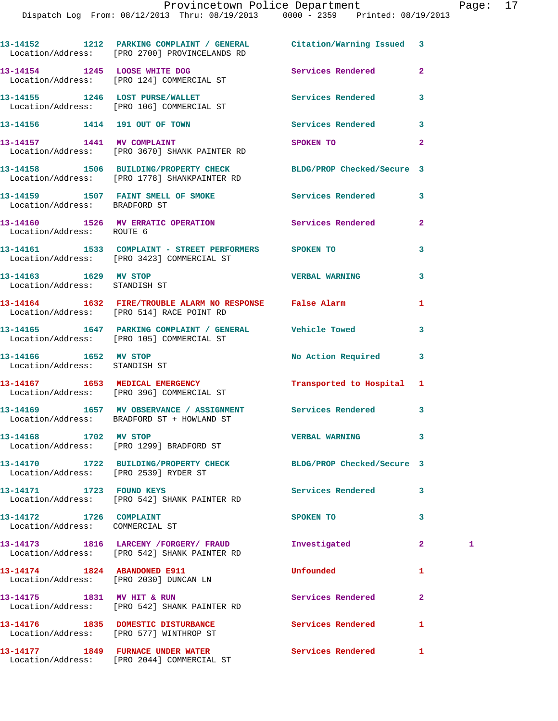|                                                            | 13-14152 1212 PARKING COMPLAINT / GENERAL Citation/Warning Issued 3<br>Location/Address: [PRO 2700] PROVINCELANDS RD |                           |              |   |
|------------------------------------------------------------|----------------------------------------------------------------------------------------------------------------------|---------------------------|--------------|---|
|                                                            | 13-14154 1245 LOOSE WHITE DOG<br>Location/Address: [PRO 124] COMMERCIAL ST                                           | <b>Services Rendered</b>  | $\mathbf{2}$ |   |
|                                                            | 13-14155 1246 LOST PURSE/WALLET<br>Location/Address: [PRO 106] COMMERCIAL ST                                         | Services Rendered         | 3            |   |
|                                                            | 13-14156    1414    191    OUT OF TOWN                                                                               | Services Rendered         | 3            |   |
|                                                            | 13-14157 1441 MV COMPLAINT<br>Location/Address: [PRO 3670] SHANK PAINTER RD                                          | SPOKEN TO                 | $\mathbf{2}$ |   |
|                                                            | 13-14158 1506 BUILDING/PROPERTY CHECK BLDG/PROP Checked/Secure 3<br>Location/Address: [PRO 1778] SHANKPAINTER RD     |                           |              |   |
| Location/Address: BRADFORD ST                              | 13-14159 1507 FAINT SMELL OF SMOKE Services Rendered                                                                 |                           | 3            |   |
| Location/Address: ROUTE 6                                  | 13-14160 1526 MV ERRATIC OPERATION 5ervices Rendered                                                                 |                           | $\mathbf{2}$ |   |
|                                                            | 13-14161 1533 COMPLAINT - STREET PERFORMERS SPOKEN TO<br>Location/Address: [PRO 3423] COMMERCIAL ST                  |                           | 3            |   |
| 13-14163 1629 MV STOP<br>Location/Address: STANDISH ST     |                                                                                                                      | <b>VERBAL WARNING</b>     | 3            |   |
|                                                            | 13-14164 1632 FIRE/TROUBLE ALARM NO RESPONSE False Alarm<br>Location/Address: [PRO 514] RACE POINT RD                |                           | 1            |   |
|                                                            | 13-14165 1647 PARKING COMPLAINT / GENERAL Vehicle Towed<br>Location/Address: [PRO 105] COMMERCIAL ST                 |                           | 3            |   |
| 13-14166 1652 MV STOP<br>Location/Address: STANDISH ST     |                                                                                                                      | No Action Required        | 3            |   |
|                                                            | 13-14167 1653 MEDICAL EMERGENCY<br>Location/Address: [PRO 396] COMMERCIAL ST                                         | Transported to Hospital 1 |              |   |
|                                                            | 13-14169 1657 MV OBSERVANCE / ASSIGNMENT Services Rendered<br>Location/Address: BRADFORD ST + HOWLAND ST             |                           | 3            |   |
| 13-14168 1702 MV STOP                                      | Location/Address: [PRO 1299] BRADFORD ST                                                                             | <b>VERBAL WARNING</b>     | 3            |   |
| Location/Address: [PRO 2539] RYDER ST                      | 13-14170 1722 BUILDING/PROPERTY CHECK BLDG/PROP Checked/Secure 3                                                     |                           |              |   |
| 13-14171 1723 FOUND KEYS                                   | Location/Address: [PRO 542] SHANK PAINTER RD                                                                         | Services Rendered         | 3            |   |
| 13-14172 1726 COMPLAINT<br>Location/Address: COMMERCIAL ST |                                                                                                                      | SPOKEN TO                 | 3            |   |
|                                                            | 13-14173 1816 LARCENY / FORGERY / FRAUD<br>Location/Address: [PRO 542] SHANK PAINTER RD                              | Investigated              | $\mathbf{2}$ | 1 |
| 13-14174 1824 ABANDONED E911                               | Location/Address: [PRO 2030] DUNCAN LN                                                                               | Unfounded                 | 1            |   |
|                                                            | 13-14175 1831 MV HIT & RUN<br>Location/Address: [PRO 542] SHANK PAINTER RD                                           | Services Rendered         | $\mathbf{2}$ |   |
|                                                            | 13-14176 1835 DOMESTIC DISTURBANCE<br>Location/Address: [PRO 577] WINTHROP ST                                        | Services Rendered         | 1            |   |
|                                                            |                                                                                                                      | Services Rendered         | $\mathbf{1}$ |   |

Location/Address: [PRO 2044] COMMERCIAL ST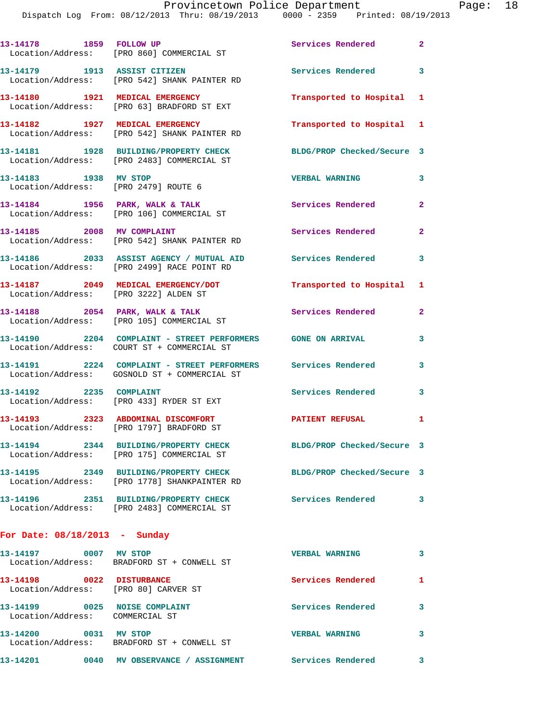Dispatch Log From: 08/12/2013 Thru: 08/19/2013 0000 - 2359 Printed: 08/19/2013

|                                                                   | DISPACCII DOG FIOM. 00/12/2013 INIU. 00/13/2013                                                                  | UUUU - 4333<br>FLIILCU · VO/IJ/ |                |
|-------------------------------------------------------------------|------------------------------------------------------------------------------------------------------------------|---------------------------------|----------------|
|                                                                   | 13-14178    1859    FOLLOW UP<br>Location/Address: [PRO 860] COMMERCIAL ST                                       | Services Rendered 2             |                |
| 13-14179 1913 ASSIST CITIZEN                                      | Location/Address: [PRO 542] SHANK PAINTER RD                                                                     | Services Rendered 3             |                |
|                                                                   | 13-14180 1921 MEDICAL EMERGENCY<br>Location/Address: [PRO 63] BRADFORD ST EXT                                    | Transported to Hospital 1       |                |
|                                                                   | 13-14182 1927 MEDICAL EMERGENCY<br>Location/Address: [PRO 542] SHANK PAINTER RD                                  | Transported to Hospital 1       |                |
|                                                                   | 13-14181 1928 BUILDING/PROPERTY CHECK<br>Location/Address: [PRO 2483] COMMERCIAL ST                              | BLDG/PROP Checked/Secure 3      |                |
| 13-14183 1938 MV STOP                                             | Location/Address: [PRO 2479] ROUTE 6                                                                             | <b>VERBAL WARNING</b>           | 3              |
|                                                                   | 13-14184 1956 PARK, WALK & TALK<br>Location/Address: [PRO 106] COMMERCIAL ST                                     | Services Rendered 2             |                |
| 13-14185 2008 MV COMPLAINT                                        | Location/Address: [PRO 542] SHANK PAINTER RD                                                                     | Services Rendered               | $\overline{2}$ |
|                                                                   | 13-14186 2033 ASSIST AGENCY / MUTUAL AID Services Rendered<br>Location/Address: [PRO 2499] RACE POINT RD         |                                 | 3              |
| Location/Address: [PRO 3222] ALDEN ST                             | 13-14187 2049 MEDICAL EMERGENCY/DOT                                                                              | Transported to Hospital 1       |                |
|                                                                   | 13-14188 2054 PARK, WALK & TALK<br>Location/Address: [PRO 105] COMMERCIAL ST                                     | Services Rendered               | $\mathbf{2}$   |
|                                                                   | 13-14190 2204 COMPLAINT - STREET PERFORMERS GONE ON ARRIVAL<br>Location/Address: COURT ST + COMMERCIAL ST        |                                 | 3              |
|                                                                   | 13-14191  2224  COMPLAINT - STREET PERFORMERS  Services Rendered<br>Location/Address: GOSNOLD ST + COMMERCIAL ST |                                 | 3              |
| 13-14192 2235 COMPLAINT                                           | Location/Address: [PRO 433] RYDER ST EXT                                                                         | <b>Services Rendered</b>        | 3              |
|                                                                   | 13-14193 2323 ABDOMINAL DISCOMFORT<br>Location/Address: [PRO 1797] BRADFORD ST                                   | PATIENT REFUSAL                 | 1              |
|                                                                   | 13-14194 2344 BUILDING/PROPERTY CHECK<br>Location/Address: [PRO 175] COMMERCIAL ST                               | BLDG/PROP Checked/Secure 3      |                |
|                                                                   | 13-14195 2349 BUILDING/PROPERTY CHECK<br>Location/Address: [PRO 1778] SHANKPAINTER RD                            | BLDG/PROP Checked/Secure 3      |                |
|                                                                   | 13-14196 2351 BUILDING/PROPERTY CHECK<br>Location/Address: [PRO 2483] COMMERCIAL ST                              | Services Rendered 3             |                |
| For Date: $08/18/2013$ - Sunday                                   |                                                                                                                  |                                 |                |
| 13-14197 0007 MV STOP                                             | Location/Address: BRADFORD ST + CONWELL ST                                                                       | <b>VERBAL WARNING</b>           | 3              |
| 13-14198 0022 DISTURBANCE<br>Location/Address: [PRO 80] CARVER ST |                                                                                                                  | Services Rendered               | 1              |
| 13-14199 0025 NOISE COMPLAINT<br>Location/Address: COMMERCIAL ST  |                                                                                                                  | Services Rendered               | 3              |
| 13-14200 0031 MV STOP                                             | Location/Address: BRADFORD ST + CONWELL ST                                                                       | <b>VERBAL WARNING</b>           | 3              |
|                                                                   | 13-14201 0040 MV OBSERVANCE / ASSIGNMENT                                                                         | Services Rendered               | 3              |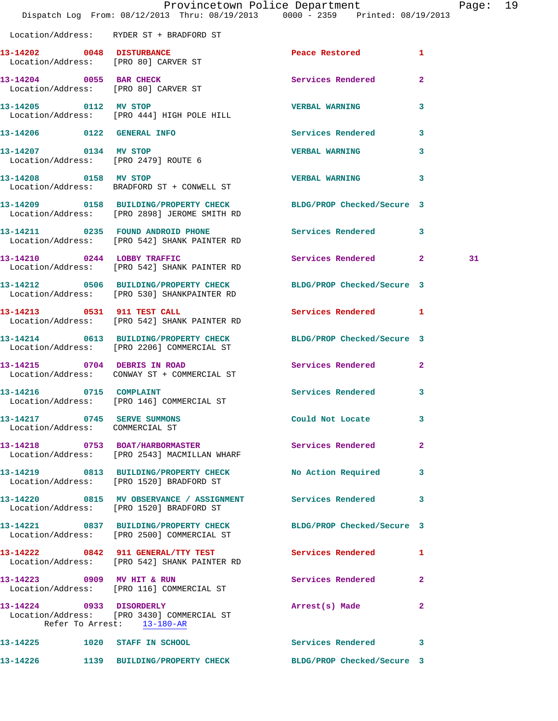|                                                                | Dispatch Log From: 08/12/2013 Thru: 08/19/2013 0000 - 2359 Printed: 08/19/2013                                   | Provincetown Police Department |                | Page: 19 |  |
|----------------------------------------------------------------|------------------------------------------------------------------------------------------------------------------|--------------------------------|----------------|----------|--|
|                                                                | Location/Address: RYDER ST + BRADFORD ST                                                                         |                                |                |          |  |
|                                                                | 13-14202 0048 DISTURBANCE<br>Location/Address: [PRO 80] CARVER ST                                                | Peace Restored 1               |                |          |  |
| Location/Address: [PRO 80] CARVER ST                           | 13-14204 0055 BAR CHECK                                                                                          | Services Rendered              | $\overline{2}$ |          |  |
| 13-14205 0112 MV STOP                                          | Location/Address: [PRO 444] HIGH POLE HILL                                                                       | <b>VERBAL WARNING</b>          | $\mathbf{3}$   |          |  |
|                                                                | 13-14206 0122 GENERAL INFO                                                                                       | Services Rendered 3            |                |          |  |
| 13-14207 0134 MV STOP                                          | Location/Address: [PRO 2479] ROUTE 6                                                                             | <b>VERBAL WARNING</b>          | $\mathbf{3}$   |          |  |
| 13-14208 0158 MV STOP                                          | Location/Address: BRADFORD ST + CONWELL ST                                                                       | <b>VERBAL WARNING</b>          | 3              |          |  |
|                                                                | 13-14209 0158 BUILDING/PROPERTY CHECK BLDG/PROP Checked/Secure 3<br>Location/Address: [PRO 2898] JEROME SMITH RD |                                |                |          |  |
|                                                                | 13-14211 0235 FOUND ANDROID PHONE<br>Location/Address: [PRO 542] SHANK PAINTER RD                                | Services Rendered 3            |                |          |  |
|                                                                | 13-14210 0244 LOBBY TRAFFIC<br>Location/Address: [PRO 542] SHANK PAINTER RD                                      | Services Rendered 2            |                | 31       |  |
|                                                                | 13-14212 0506 BUILDING/PROPERTY CHECK BLDG/PROP Checked/Secure 3<br>Location/Address: [PRO 530] SHANKPAINTER RD  |                                |                |          |  |
|                                                                | 13-14213 0531 911 TEST CALL<br>Location/Address: [PRO 542] SHANK PAINTER RD                                      | Services Rendered 1            |                |          |  |
|                                                                | 13-14214 0613 BUILDING/PROPERTY CHECK<br>Location/Address: [PRO 2206] COMMERCIAL ST                              | BLDG/PROP Checked/Secure 3     |                |          |  |
| 13-14215 0704 DEBRIS IN ROAD                                   | Location/Address: CONWAY ST + COMMERCIAL ST                                                                      | Services Rendered 2            |                |          |  |
|                                                                | 13-14216 0715 COMPLAINT<br>Location/Address: [PRO 146] COMMERCIAL ST                                             | Services Rendered 3            |                |          |  |
| 13-14217 0745 SERVE SUMMONS<br>Location/Address: COMMERCIAL ST |                                                                                                                  | Could Not Locate 3             |                |          |  |
|                                                                | 13-14218 0753 BOAT/HARBORMASTER<br>Location/Address: [PRO 2543] MACMILLAN WHARF                                  | <b>Services Rendered</b>       | $\overline{2}$ |          |  |
|                                                                | 13-14219 0813 BUILDING/PROPERTY CHECK<br>Location/Address: [PRO 1520] BRADFORD ST                                | No Action Required 3           |                |          |  |
|                                                                | 13-14220 0815 MV OBSERVANCE / ASSIGNMENT Services Rendered 3<br>Location/Address: [PRO 1520] BRADFORD ST         |                                |                |          |  |
|                                                                | 13-14221 0837 BUILDING/PROPERTY CHECK BLDG/PROP Checked/Secure 3<br>Location/Address: [PRO 2500] COMMERCIAL ST   |                                |                |          |  |
|                                                                | 13-14222 0842 911 GENERAL/TTY TEST Services Rendered 1<br>Location/Address: [PRO 542] SHANK PAINTER RD           |                                |                |          |  |
| 13-14223 0909 MV HIT & RUN                                     | Location/Address: [PRO 116] COMMERCIAL ST                                                                        | Services Rendered 2            |                |          |  |
| Refer To Arrest: 13-180-AR                                     | 13-14224 0933 DISORDERLY<br>Location/Address: [PRO 3430] COMMERCIAL ST                                           | Arrest(s) Made                 | $\mathbf{2}$   |          |  |
|                                                                | 13-14225 1020 STAFF IN SCHOOL                                                                                    | Services Rendered 3            |                |          |  |
|                                                                | 13-14226 1139 BUILDING/PROPERTY CHECK BLDG/PROP Checked/Secure 3                                                 |                                |                |          |  |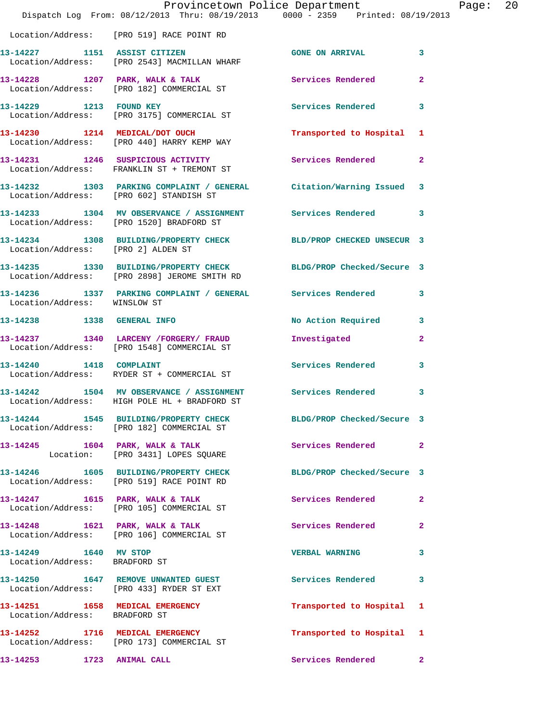|                                                        | Provincetown Police Department<br>Dispatch Log From: 08/12/2013 Thru: 08/19/2013 0000 - 2359 Printed: 08/19/2013 |                            |                         | Page: 20 |  |
|--------------------------------------------------------|------------------------------------------------------------------------------------------------------------------|----------------------------|-------------------------|----------|--|
|                                                        | Location/Address: [PRO 519] RACE POINT RD                                                                        |                            |                         |          |  |
|                                                        | 13-14227 1151 ASSIST CITIZEN<br>Location/Address: [PRO 2543] MACMILLAN WHARF                                     | GONE ON ARRIVAL 3          |                         |          |  |
|                                                        | 13-14228 1207 PARK, WALK & TALK 1998 Services Rendered 2<br>Location/Address: [PRO 182] COMMERCIAL ST            |                            |                         |          |  |
|                                                        | 13-14229 1213 FOUND KEY<br>Location/Address: [PRO 3175] COMMERCIAL ST                                            | Services Rendered          | $\overline{\mathbf{3}}$ |          |  |
|                                                        | 13-14230 1214 MEDICAL/DOT OUCH<br>Location/Address: [PRO 440] HARRY KEMP WAY                                     | Transported to Hospital 1  |                         |          |  |
|                                                        |                                                                                                                  |                            |                         |          |  |
|                                                        | 13-14232 1303 PARKING COMPLAINT / GENERAL Citation/Warning Issued 3<br>Location/Address: [PRO 602] STANDISH ST   |                            |                         |          |  |
|                                                        | 13-14233 1304 MV OBSERVANCE / ASSIGNMENT Services Rendered 3<br>Location/Address: [PRO 1520] BRADFORD ST         |                            |                         |          |  |
| Location/Address: [PRO 2] ALDEN ST                     | 13-14234 1308 BUILDING/PROPERTY CHECK BLD/PROP CHECKED UNSECUR 3                                                 |                            |                         |          |  |
|                                                        | 13-14235 1330 BUILDING/PROPERTY CHECK BLDG/PROP Checked/Secure 3<br>Location/Address: [PRO 2898] JEROME SMITH RD |                            |                         |          |  |
| Location/Address: WINSLOW ST                           | 13-14236 1337 PARKING COMPLAINT / GENERAL Services Rendered 3                                                    |                            |                         |          |  |
|                                                        |                                                                                                                  | No Action Required 3       |                         |          |  |
|                                                        | 13-14237 1340 LARCENY / FORGERY / FRAUD<br>Location/Address: [PRO 1548] COMMERCIAL ST                            | Investigated               | $\mathbf{2}$            |          |  |
|                                                        | 13-14240   1418   COMPLAINT<br>Location/Address: RYDER ST + COMMERCIAL ST                                        | Services Rendered 3        |                         |          |  |
|                                                        | 13-14242 1504 MV OBSERVANCE / ASSIGNMENT Services Rendered<br>Location/Address: HIGH POLE HL + BRADFORD ST       |                            | 3                       |          |  |
|                                                        | 13-14244 1545 BUILDING/PROPERTY CHECK<br>Location/Address: [PRO 182] COMMERCIAL ST                               | BLDG/PROP Checked/Secure 3 |                         |          |  |
|                                                        | 13-14245 1604 PARK, WALK & TALK 1999 Services Rendered 2<br>Location: [PRO 3431] LOPES SQUARE                    |                            |                         |          |  |
|                                                        | 13-14246 1605 BUILDING/PROPERTY CHECK BLDG/PROP Checked/Secure 3<br>Location/Address: [PRO 519] RACE POINT RD    |                            |                         |          |  |
|                                                        | 13-14247 1615 PARK, WALK & TALK 1997 Services Rendered 2<br>Location/Address: [PRO 105] COMMERCIAL ST            |                            |                         |          |  |
|                                                        | 13-14248 1621 PARK, WALK & TALK<br>Location/Address: [PRO 106] COMMERCIAL ST                                     | Services Rendered          | $\mathbf{2}$            |          |  |
| 13-14249 1640 MV STOP<br>Location/Address: BRADFORD ST |                                                                                                                  | <b>VERBAL WARNING</b>      | 3                       |          |  |
|                                                        | 13-14250 1647 REMOVE UNWANTED GUEST<br>Location/Address: [PRO 433] RYDER ST EXT                                  | Services Rendered 3        |                         |          |  |
| Location/Address: BRADFORD ST                          | 13-14251 1658 MEDICAL EMERGENCY                                                                                  | Transported to Hospital 1  |                         |          |  |
|                                                        | 13-14252 1716 MEDICAL EMERGENCY<br>Location/Address: [PRO 173] COMMERCIAL ST                                     | Transported to Hospital 1  |                         |          |  |
| 13-14253 1723 ANIMAL CALL                              |                                                                                                                  | Services Rendered 2        |                         |          |  |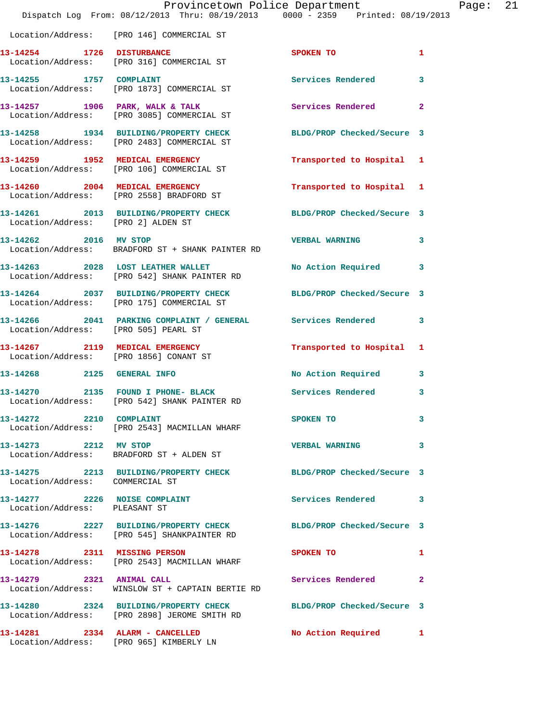|                                        | Provincetown Police Department<br>Dispatch Log From: 08/12/2013 Thru: 08/19/2013 0000 - 2359 Printed: 08/19/2013 |                           |                | Page: 21 |  |
|----------------------------------------|------------------------------------------------------------------------------------------------------------------|---------------------------|----------------|----------|--|
|                                        | Location/Address: [PRO 146] COMMERCIAL ST                                                                        |                           |                |          |  |
|                                        |                                                                                                                  | <b>SPOKEN TO</b>          | 1              |          |  |
|                                        | 13-14255 1757 COMPLAINT<br>Location/Address: [PRO 1873] COMMERCIAL ST                                            | Services Rendered         | $\mathbf{3}$   |          |  |
|                                        | 13-14257 1906 PARK, WALK & TALK<br>Location/Address: [PRO 3085] COMMERCIAL ST                                    | <b>Services Rendered</b>  | $\overline{2}$ |          |  |
|                                        | 13-14258 1934 BUILDING/PROPERTY CHECK BLDG/PROP Checked/Secure 3<br>Location/Address: [PRO 2483] COMMERCIAL ST   |                           |                |          |  |
|                                        | 13-14259 1952 MEDICAL EMERGENCY<br>Location/Address: [PRO 106] COMMERCIAL ST                                     | Transported to Hospital 1 |                |          |  |
|                                        | 13-14260 2004 MEDICAL EMERGENCY<br>Location/Address: [PRO 2558] BRADFORD ST                                      | Transported to Hospital 1 |                |          |  |
| Location/Address: [PRO 2] ALDEN ST     | 13-14261 2013 BUILDING/PROPERTY CHECK BLDG/PROP Checked/Secure 3                                                 |                           |                |          |  |
|                                        | 13-14262 2016 MV STOP<br>Location/Address: BRADFORD ST + SHANK PAINTER RD                                        | <b>VERBAL WARNING</b>     | 3              |          |  |
|                                        | 13-14263 2028 LOST LEATHER WALLET<br>Location/Address: [PRO 542] SHANK PAINTER RD                                | No Action Required 3      |                |          |  |
|                                        | 13-14264 2037 BUILDING/PROPERTY CHECK BLDG/PROP Checked/Secure 3<br>Location/Address: [PRO 175] COMMERCIAL ST    |                           |                |          |  |
| Location/Address: [PRO 505] PEARL ST   | 13-14266 2041 PARKING COMPLAINT / GENERAL Services Rendered 3                                                    |                           |                |          |  |
| Location/Address: [PRO 1856] CONANT ST | 13-14267 2119 MEDICAL EMERGENCY                                                                                  | Transported to Hospital 1 |                |          |  |
|                                        | 13-14268 2125 GENERAL INFO                                                                                       | No Action Required 3      |                |          |  |
|                                        | 13-14270 2135 FOUND I PHONE- BLACK Services Rendered<br>Location/Address: [PRO 542] SHANK PAINTER RD             |                           | 3              |          |  |
| 13-14272 2210 COMPLAINT                | Location/Address: [PRO 2543] MACMILLAN WHARF                                                                     | SPOKEN TO                 | 3              |          |  |
| 13-14273 2212 MV STOP                  | Location/Address: BRADFORD ST + ALDEN ST                                                                         | <b>VERBAL WARNING</b>     | 3              |          |  |
| Location/Address: COMMERCIAL ST        | 13-14275 2213 BUILDING/PROPERTY CHECK BLDG/PROP Checked/Secure 3                                                 |                           |                |          |  |
| Location/Address: PLEASANT ST          | 13-14277 2226 NOISE COMPLAINT                                                                                    | Services Rendered 3       |                |          |  |
|                                        | 13-14276 2227 BUILDING/PROPERTY CHECK BLDG/PROP Checked/Secure 3<br>Location/Address: [PRO 545] SHANKPAINTER RD  |                           |                |          |  |
|                                        | 13-14278 2311 MISSING PERSON<br>Location/Address: [PRO 2543] MACMILLAN WHARF                                     | SPOKEN TO                 | $\mathbf{1}$   |          |  |
| 13-14279 2321 ANIMAL CALL              | Location/Address: WINSLOW ST + CAPTAIN BERTIE RD                                                                 | Services Rendered 2       |                |          |  |
|                                        | 13-14280 2324 BUILDING/PROPERTY CHECK BLDG/PROP Checked/Secure 3<br>Location/Address: [PRO 2898] JEROME SMITH RD |                           |                |          |  |
|                                        | 13-14281 2334 ALARM - CANCELLED<br>Location/Address: [PRO 965] KIMBERLY LN                                       | No Action Required 1      |                |          |  |